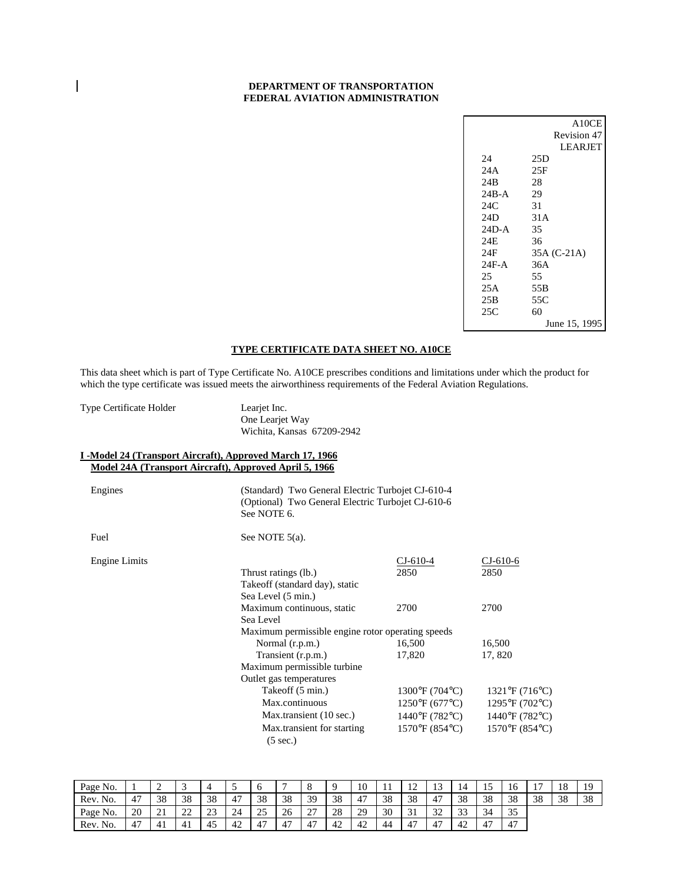### **DEPARTMENT OF TRANSPORTATION FEDERAL AVIATION ADMINISTRATION**

|         | A10CE          |
|---------|----------------|
|         | Revision 47    |
|         | <b>LEARIET</b> |
| 24      | 25D            |
| 24 A    | 25F            |
| 24B     | 28             |
| 24B-A   | 29             |
| 24C     | 31             |
| 24D     | 31 A           |
| 24D-A   | 35             |
| 24E     | 36             |
| 24F     | 35A (C-21A)    |
| $24F-A$ | 36A            |
| 25      | 55             |
| 25 A    | 55B            |
| 25B     | 55C            |
| 25C     | 60             |
|         | June 15, 1995  |

# **TYPE CERTIFICATE DATA SHEET NO. A10CE**

This data sheet which is part of Type Certificate No. A10CE prescribes conditions and limitations under which the product for which the type certificate was issued meets the airworthiness requirements of the Federal Aviation Regulations.

Type Certificate Holder Learjet Inc.

One Learjet Way Wichita, Kansas 67209-2942

#### **I -Model 24 (Transport Aircraft), Approved March 17, 1966 Model 24A (Transport Aircraft), Approved April 5, 1966**

Engines (Standard) Two General Electric Turbojet CJ-610-4 (Optional) Two General Electric Turbojet CJ-610-6 See NOTE 6.

Fuel See NOTE 5(a).

| <b>Engine Limits</b> |                                                   | $CI-610-4$                    | $CI-610-6$                    |
|----------------------|---------------------------------------------------|-------------------------------|-------------------------------|
|                      | Thrust ratings (lb.)                              | 2850                          | 2850                          |
|                      | Take off (standard day), static                   |                               |                               |
|                      | Sea Level (5 min.)                                |                               |                               |
|                      | Maximum continuous, static                        | 2700                          | 2700                          |
|                      | Sea Level                                         |                               |                               |
|                      | Maximum permissible engine rotor operating speeds |                               |                               |
|                      | Normal (r.p.m.)                                   | 16,500                        | 16,500                        |
|                      | Transient (r.p.m.)                                | 17,820                        | 17,820                        |
|                      | Maximum permissible turbine                       |                               |                               |
|                      | Outlet gas temperatures                           |                               |                               |
|                      | Takeoff (5 min.)                                  | $1300^{\circ}F(704^{\circ}C)$ | $1321^{\circ}F(716^{\circ}C)$ |
|                      | Max.continuous                                    | $1250^{\circ}F(677^{\circ}C)$ | $1295^{\circ}F(702^{\circ}C)$ |
|                      | Max.transient (10 sec.)                           | 1440°F (782°C)                | $1440^{\circ}F(782^{\circ}C)$ |
|                      | Max.transient for starting                        | $1570^{\circ}F(854^{\circ}C)$ | $1570^{\circ}F(854^{\circ}C)$ |
|                      | $(5 \text{ sec.})$                                |                               |                               |

| Page No. |             | ∸  | ◡            |           | ັ                    | O               |    |                     |    | 10 | -11 | $\sim$<br>∸ | …             | 14            | <b>⊥ J</b> | 16 |    | 18 | 10 |
|----------|-------------|----|--------------|-----------|----------------------|-----------------|----|---------------------|----|----|-----|-------------|---------------|---------------|------------|----|----|----|----|
| Rev. No. | 47          | 38 | 38           | 38        | $\overline{A}$<br>4, | 38              | 38 | 39                  | 38 | 47 | 38  | 38          |               | 38            | 38         | 38 | 38 | 38 | 38 |
| Page No. | 20          | 21 | $\cap$<br>∠∠ | n n<br>رے | 24                   | $\gamma$<br>ر ے | 26 | $\sim$<br>∸ 1       | 28 | 29 | 30  | 21<br>◡     | $\sim$<br>ے ب | $\sim$<br>ت ب | 34         | 35 |    |    |    |
| Rev. No. | $4^{\circ}$ | 41 | 41           | -<br>45   | 42                   | 47              | 47 | $\overline{A}$<br>4 | 42 | 42 | 44  | 47          |               | 42            | 47         | 47 |    |    |    |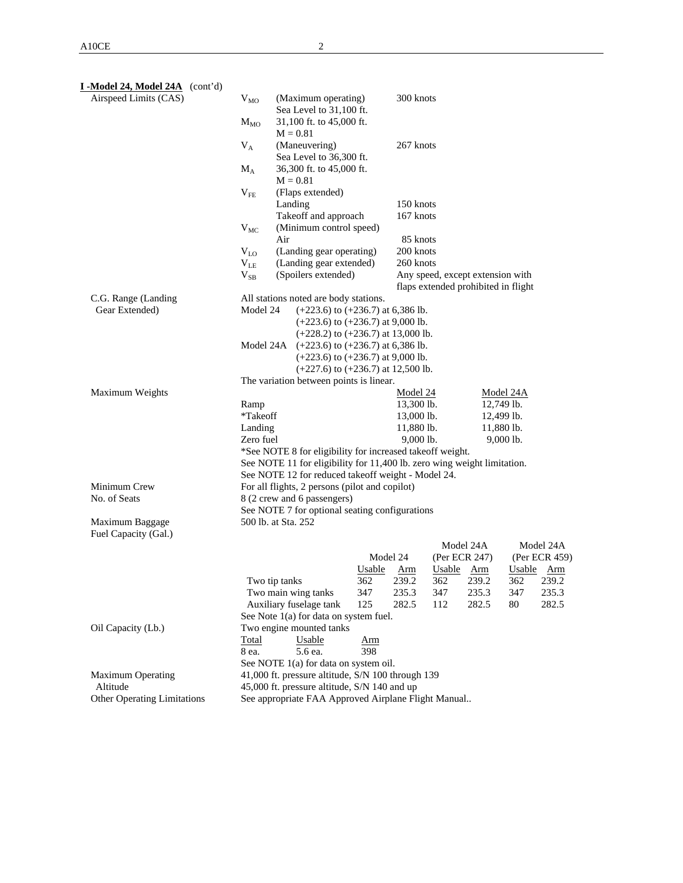| I-Model 24, Model 24A (cont'd)     |                      |                                                                                |               |                       |                                     |               |            |               |
|------------------------------------|----------------------|--------------------------------------------------------------------------------|---------------|-----------------------|-------------------------------------|---------------|------------|---------------|
| Airspeed Limits (CAS)              | $V_{MO}$             | (Maximum operating)                                                            |               | 300 knots             |                                     |               |            |               |
|                                    |                      | Sea Level to 31,100 ft.                                                        |               |                       |                                     |               |            |               |
|                                    | $M_{MO}$             | 31,100 ft. to 45,000 ft.                                                       |               |                       |                                     |               |            |               |
|                                    |                      | $M = 0.81$                                                                     |               |                       |                                     |               |            |               |
|                                    | $V_A$                | (Maneuvering)<br>Sea Level to 36,300 ft.                                       |               | 267 knots             |                                     |               |            |               |
|                                    | $M_A$                | 36,300 ft. to 45,000 ft.                                                       |               |                       |                                     |               |            |               |
|                                    |                      | $M = 0.81$                                                                     |               |                       |                                     |               |            |               |
|                                    | $V_{FE}$             | (Flaps extended)                                                               |               |                       |                                     |               |            |               |
|                                    |                      | Landing                                                                        |               | 150 knots             |                                     |               |            |               |
|                                    |                      | Takeoff and approach                                                           |               | 167 knots             |                                     |               |            |               |
|                                    | $V_{MC}$             | (Minimum control speed)                                                        |               |                       |                                     |               |            |               |
|                                    |                      | Air                                                                            |               | 85 knots<br>200 knots |                                     |               |            |               |
|                                    | $V_{LO}$<br>$V_{LE}$ | (Landing gear operating)<br>(Landing gear extended)                            |               | 260 knots             |                                     |               |            |               |
|                                    | $V_{SB}$             | (Spoilers extended)                                                            |               |                       | Any speed, except extension with    |               |            |               |
|                                    |                      |                                                                                |               |                       | flaps extended prohibited in flight |               |            |               |
| C.G. Range (Landing                |                      | All stations noted are body stations.                                          |               |                       |                                     |               |            |               |
| Gear Extended)                     | Model 24             | $(+223.6)$ to $(+236.7)$ at 6,386 lb.                                          |               |                       |                                     |               |            |               |
|                                    |                      | $(+223.6)$ to $(+236.7)$ at 9,000 lb.                                          |               |                       |                                     |               |            |               |
|                                    |                      | $(+228.2)$ to $(+236.7)$ at 13,000 lb.                                         |               |                       |                                     |               |            |               |
|                                    | Model 24A            | $(+223.6)$ to $(+236.7)$ at 6,386 lb.<br>$(+223.6)$ to $(+236.7)$ at 9,000 lb. |               |                       |                                     |               |            |               |
|                                    |                      | $(+227.6)$ to $(+236.7)$ at 12,500 lb.                                         |               |                       |                                     |               |            |               |
|                                    |                      | The variation between points is linear.                                        |               |                       |                                     |               |            |               |
| Maximum Weights                    |                      |                                                                                |               | Model 24              |                                     |               | Model 24A  |               |
|                                    | Ramp                 |                                                                                |               | 13,300 lb.            |                                     |               | 12,749 lb. |               |
|                                    | *Takeoff             |                                                                                |               | 13,000 lb.            |                                     |               | 12,499 lb. |               |
|                                    | Landing              |                                                                                |               | 11,880 lb.            |                                     |               | 11,880 lb. |               |
|                                    | Zero fuel            | *See NOTE 8 for eligibility for increased takeoff weight.                      |               | 9,000 lb.             |                                     |               | 9,000 lb.  |               |
|                                    |                      | See NOTE 11 for eligibility for 11,400 lb. zero wing weight limitation.        |               |                       |                                     |               |            |               |
|                                    |                      | See NOTE 12 for reduced takeoff weight - Model 24.                             |               |                       |                                     |               |            |               |
| Minimum Crew                       |                      | For all flights, 2 persons (pilot and copilot)                                 |               |                       |                                     |               |            |               |
| No. of Seats                       |                      | 8 (2 crew and 6 passengers)                                                    |               |                       |                                     |               |            |               |
|                                    |                      | See NOTE 7 for optional seating configurations                                 |               |                       |                                     |               |            |               |
| Maximum Baggage                    |                      | 500 lb. at Sta. 252                                                            |               |                       |                                     |               |            |               |
| Fuel Capacity (Gal.)               |                      |                                                                                |               |                       |                                     | Model 24A     |            | Model 24A     |
|                                    |                      |                                                                                |               | Model 24              |                                     | (Per ECR 247) |            | (Per ECR 459) |
|                                    |                      |                                                                                | <b>Usable</b> | <u>Arm</u>            | Usable Arm                          |               |            | Usable Arm    |
|                                    |                      | Two tip tanks                                                                  | 362           | 239.2                 | 362 239.2                           |               | 362        | 239.2         |
|                                    |                      | Two main wing tanks                                                            | 347           | 235.3                 | 347                                 | 235.3         | 347        | 235.3         |
|                                    |                      | Auxiliary fuselage tank                                                        | 125           | 282.5                 | 112                                 | 282.5         | 80         | 282.5         |
|                                    |                      | See Note 1(a) for data on system fuel.                                         |               |                       |                                     |               |            |               |
| Oil Capacity (Lb.)                 | Total                | Two engine mounted tanks<br>Usable                                             | Arm           |                       |                                     |               |            |               |
|                                    | 8 ea.                | 5.6 ea.                                                                        | 398           |                       |                                     |               |            |               |
|                                    |                      | See NOTE 1(a) for data on system oil.                                          |               |                       |                                     |               |            |               |
| <b>Maximum Operating</b>           |                      | 41,000 ft. pressure altitude, S/N 100 through 139                              |               |                       |                                     |               |            |               |
| Altitude                           |                      | 45,000 ft. pressure altitude, S/N 140 and up                                   |               |                       |                                     |               |            |               |
| <b>Other Operating Limitations</b> |                      | See appropriate FAA Approved Airplane Flight Manual                            |               |                       |                                     |               |            |               |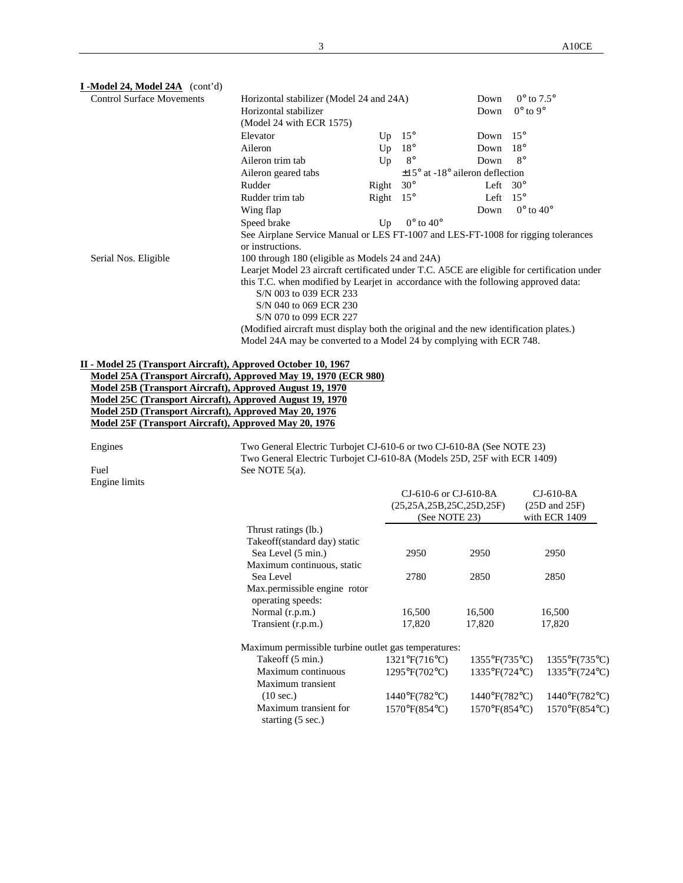| I -Model 24, Model 24A (cont'd)                                                                                                      |                                                                                             |       |                                             |                 |                             |  |  |  |
|--------------------------------------------------------------------------------------------------------------------------------------|---------------------------------------------------------------------------------------------|-------|---------------------------------------------|-----------------|-----------------------------|--|--|--|
| <b>Control Surface Movements</b>                                                                                                     | Horizontal stabilizer (Model 24 and 24A)                                                    | Down  | $0^{\circ}$ to $7.5^{\circ}$                |                 |                             |  |  |  |
|                                                                                                                                      | Horizontal stabilizer                                                                       | Down  | $0^\circ$ to $9^\circ$                      |                 |                             |  |  |  |
|                                                                                                                                      | (Model 24 with ECR 1575)                                                                    |       |                                             |                 |                             |  |  |  |
|                                                                                                                                      | Elevator                                                                                    | Up    | $15^{\circ}$                                | Down            | $15^{\circ}$                |  |  |  |
|                                                                                                                                      | Aileron                                                                                     | Up    | $18^{\circ}$                                | Down            | $18^{\circ}$                |  |  |  |
|                                                                                                                                      | Aileron trim tab                                                                            | Up    | $8^{\circ}$                                 | Down            | $8^\circ$                   |  |  |  |
|                                                                                                                                      | Aileron geared tabs                                                                         |       | $\pm 15^{\circ}$ at -18° aileron deflection |                 |                             |  |  |  |
|                                                                                                                                      | Rudder                                                                                      | Right | $30^\circ$                                  | Left $30^\circ$ |                             |  |  |  |
|                                                                                                                                      | Rudder trim tab                                                                             | Right | $15^{\circ}$                                | Left            | $15^{\circ}$                |  |  |  |
|                                                                                                                                      | Wing flap                                                                                   |       |                                             | Down            | $0^{\circ}$ to $40^{\circ}$ |  |  |  |
|                                                                                                                                      | Speed brake                                                                                 | Up    | $0^{\circ}$ to $40^{\circ}$                 |                 |                             |  |  |  |
|                                                                                                                                      | See Airplane Service Manual or LES FT-1007 and LES-FT-1008 for rigging tolerances           |       |                                             |                 |                             |  |  |  |
|                                                                                                                                      | or instructions.                                                                            |       |                                             |                 |                             |  |  |  |
| Serial Nos. Eligible                                                                                                                 | 100 through 180 (eligible as Models 24 and 24A)                                             |       |                                             |                 |                             |  |  |  |
|                                                                                                                                      | Learjet Model 23 aircraft certificated under T.C. A5CE are eligible for certification under |       |                                             |                 |                             |  |  |  |
|                                                                                                                                      | this T.C. when modified by Learjet in accordance with the following approved data:          |       |                                             |                 |                             |  |  |  |
|                                                                                                                                      | S/N 003 to 039 ECR 233                                                                      |       |                                             |                 |                             |  |  |  |
|                                                                                                                                      | S/N 040 to 069 ECR 230                                                                      |       |                                             |                 |                             |  |  |  |
|                                                                                                                                      | S/N 070 to 099 ECR 227                                                                      |       |                                             |                 |                             |  |  |  |
|                                                                                                                                      | (Modified aircraft must display both the original and the new identification plates.)       |       |                                             |                 |                             |  |  |  |
|                                                                                                                                      | Model 24A may be converted to a Model 24 by complying with ECR 748.                         |       |                                             |                 |                             |  |  |  |
|                                                                                                                                      |                                                                                             |       |                                             |                 |                             |  |  |  |
| II - Model 25 (Transport Aircraft), Approved October 10, 1967<br>M. LIAEA (The contract and a contract in the 40 mm of the contract) |                                                                                             |       |                                             |                 |                             |  |  |  |

**Model 25A (Transport Aircraft), Approved May 19, 1970 (ECR 980) Model 25B (Transport Aircraft), Approved August 19, 1970 Model 25C (Transport Aircraft), Approved August 19, 1970 Model 25D (Transport Aircraft), Approved May 20, 1976 Model 25F (Transport Aircraft), Approved May 20, 1976**

Engine limits

Engines Two General Electric Turbojet CJ-610-6 or two CJ-610-8A (See NOTE 23) Two General Electric Turbojet CJ-610-8A (Models 25D, 25F with ECR 1409) Fuel See NOTE 5(a).

|                                                      | CJ-610-6 or CJ-610-8A<br>(25, 25A, 25B, 25C, 25D, 25F)<br>(See NOTE 23) |                               | CJ-610-8A<br>$(25D \text{ and } 25F)$<br>with ECR 1409 |
|------------------------------------------------------|-------------------------------------------------------------------------|-------------------------------|--------------------------------------------------------|
| Thrust ratings (lb.)                                 |                                                                         |                               |                                                        |
| Takeoff(standard day) static                         |                                                                         |                               |                                                        |
| Sea Level (5 min.)                                   | 2950                                                                    | 2950                          | 2950                                                   |
| Maximum continuous, static                           |                                                                         |                               |                                                        |
| Sea Level                                            | 2780                                                                    | 2850                          | 2850                                                   |
| Max.permissible engine rotor<br>operating speeds:    |                                                                         |                               |                                                        |
| Normal (r.p.m.)                                      | 16,500                                                                  | 16,500                        | 16,500                                                 |
| Transient (r.p.m.)                                   | 17,820                                                                  | 17,820                        | 17,820                                                 |
| Maximum permissible turbine outlet gas temperatures: |                                                                         |                               |                                                        |
| Takeoff (5 min.)                                     | $1321^{\circ}F(716^{\circ}C)$                                           | $1355^{\circ}F(735^{\circ}C)$ | $1355^{\circ}F(735^{\circ}C)$                          |
| Maximum continuous                                   | $1295^{\circ}F(702^{\circ}C)$                                           | $1335^{\circ}F(724^{\circ}C)$ | $1335^{\circ}F(724^{\circ}C)$                          |
| Maximum transient                                    |                                                                         |                               |                                                        |
| $(10 \text{ sec.})$                                  | $1440^{\circ}F(782^{\circ}C)$                                           | $1440^{\circ}F(782^{\circ}C)$ | $1440^{\circ}F(782^{\circ}C)$                          |
| Maximum transient for<br>starting $(5 \text{ sec.})$ | $1570^{\circ}F(854^{\circ}C)$                                           | $1570^{\circ}F(854^{\circ}C)$ | 1570°F(854°C)                                          |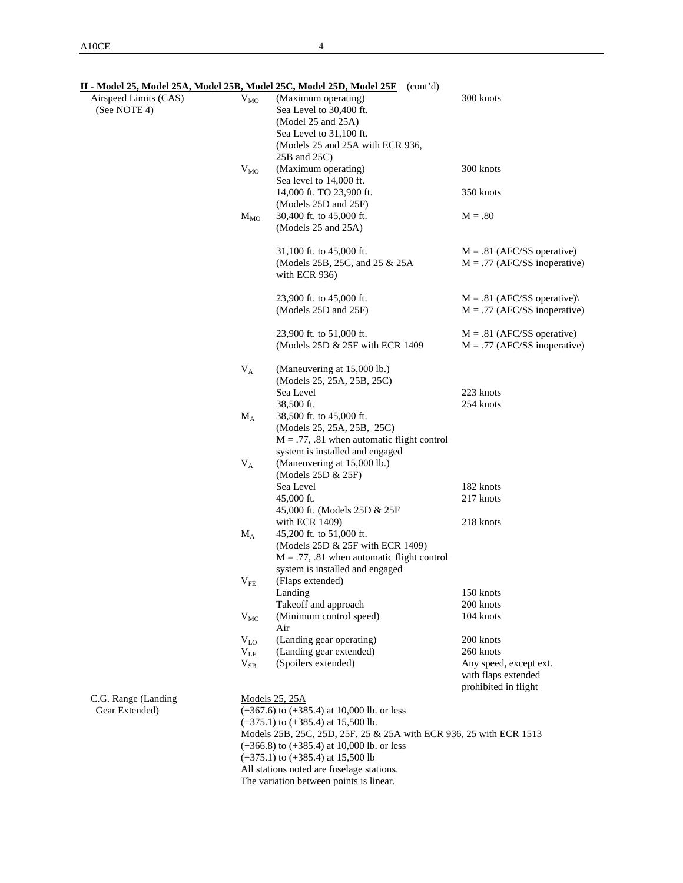|                       |              | II - Model 25, Model 25A, Model 25B, Model 25C, Model 25D, Model 25F (cont'd)    |                                |
|-----------------------|--------------|----------------------------------------------------------------------------------|--------------------------------|
| Airspeed Limits (CAS) | $V_{MO}$     | (Maximum operating)                                                              | 300 knots                      |
| (See NOTE 4)          |              | Sea Level to 30,400 ft.                                                          |                                |
|                       |              | (Model 25 and 25A)                                                               |                                |
|                       |              | Sea Level to 31,100 ft.                                                          |                                |
|                       |              | (Models 25 and 25A with ECR 936,                                                 |                                |
|                       |              | 25B and 25C)                                                                     |                                |
|                       | $V_{MO}$     | (Maximum operating)                                                              | 300 knots                      |
|                       |              | Sea level to 14,000 ft.                                                          |                                |
|                       |              | 14,000 ft. TO 23,900 ft.                                                         | 350 knots                      |
|                       |              | (Models 25D and 25F)                                                             |                                |
|                       | $M_{MO}$     | 30,400 ft. to 45,000 ft.                                                         | $M = .80$                      |
|                       |              | (Models 25 and 25A)                                                              |                                |
|                       |              | 31,100 ft. to 45,000 ft.                                                         | $M = .81$ (AFC/SS operative)   |
|                       |              | (Models 25B, 25C, and 25 & 25A)                                                  | $M = .77$ (AFC/SS inoperative) |
|                       |              | with ECR 936)                                                                    |                                |
|                       |              |                                                                                  |                                |
|                       |              | 23,900 ft. to 45,000 ft.                                                         | $M = .81$ (AFC/SS operative)   |
|                       |              | (Models 25D and 25F)                                                             | $M = .77$ (AFC/SS inoperative) |
|                       |              | 23,900 ft. to 51,000 ft.                                                         | $M = .81$ (AFC/SS operative)   |
|                       |              | (Models 25D & 25F with ECR 1409                                                  | $M = .77$ (AFC/SS inoperative) |
|                       |              |                                                                                  |                                |
|                       | $V_A$        | (Maneuvering at 15,000 lb.)                                                      |                                |
|                       |              | (Models 25, 25A, 25B, 25C)                                                       |                                |
|                       |              | Sea Level                                                                        | 223 knots                      |
|                       |              | 38,500 ft.                                                                       | 254 knots                      |
|                       | $M_A$        | 38,500 ft. to 45,000 ft.                                                         |                                |
|                       |              | (Models 25, 25A, 25B, 25C)                                                       |                                |
|                       |              | $M = .77, .81$ when automatic flight control                                     |                                |
|                       |              | system is installed and engaged                                                  |                                |
|                       | $V_A$        | (Maneuvering at 15,000 lb.)                                                      |                                |
|                       |              | (Models 25D & 25F)                                                               |                                |
|                       |              | Sea Level                                                                        | 182 knots                      |
|                       |              | 45,000 ft.                                                                       | 217 knots                      |
|                       |              | 45,000 ft. (Models 25D & 25F                                                     |                                |
|                       |              | with ECR 1409)                                                                   | 218 knots                      |
|                       | $\rm M_A$    | 45,200 ft. to 51,000 ft.                                                         |                                |
|                       |              | (Models 25D & 25F with ECR 1409)<br>$M = .77, .81$ when automatic flight control |                                |
|                       |              |                                                                                  |                                |
|                       |              | system is installed and engaged<br>(Flaps extended)                              |                                |
|                       | $\rm V_{FE}$ | Landing                                                                          | 150 knots                      |
|                       |              | Takeoff and approach                                                             | 200 knots                      |
|                       | $V_{MC}$     | (Minimum control speed)                                                          | 104 knots                      |
|                       |              | Air                                                                              |                                |
|                       | $\rm V_{LO}$ | (Landing gear operating)                                                         | 200 knots                      |
|                       | $V_{LE}$     | (Landing gear extended)                                                          | 260 knots                      |
|                       | $V_{SB}$     | (Spoilers extended)                                                              | Any speed, except ext.         |
|                       |              |                                                                                  | with flaps extended            |
|                       |              |                                                                                  | prohibited in flight           |
| C.G. Range (Landing   |              | <b>Models 25, 25A</b>                                                            |                                |
| Gear Extended)        |              | $(+367.6)$ to $(+385.4)$ at 10,000 lb. or less                                   |                                |
|                       |              | $(+375.1)$ to $(+385.4)$ at 15,500 lb.                                           |                                |
|                       |              | Models 25B, 25C, 25D, 25F, 25 & 25A with ECR 936, 25 with ECR 1513               |                                |
|                       |              | $(+366.8)$ to $(+385.4)$ at 10,000 lb. or less                                   |                                |
|                       |              | $(+375.1)$ to $(+385.4)$ at 15,500 lb                                            |                                |
|                       |              | All stations noted are fuselage stations.                                        |                                |
|                       |              | The variation between points is linear.                                          |                                |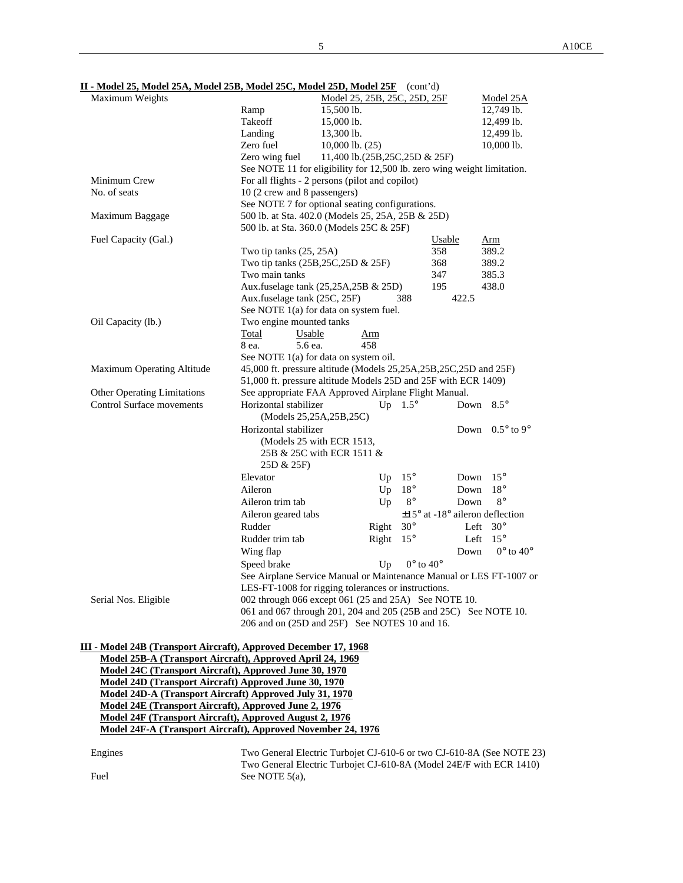| Maximum Weights                                                  |                                                                         | Model 25, 25B, 25C, 25D, 25F  |                |                                             | Model 25A                   |
|------------------------------------------------------------------|-------------------------------------------------------------------------|-------------------------------|----------------|---------------------------------------------|-----------------------------|
|                                                                  | Ramp                                                                    | 15,500 lb.                    |                |                                             | 12,749 lb.                  |
|                                                                  | Takeoff                                                                 | 15,000 lb.                    |                |                                             | 12,499 lb.                  |
|                                                                  | Landing                                                                 | 13,300 lb.                    |                |                                             | 12,499 lb.                  |
|                                                                  | Zero fuel                                                               | $10,000$ lb. $(25)$           |                |                                             | 10,000 lb.                  |
|                                                                  | Zero wing fuel                                                          | 11,400 lb.(25B,25C,25D & 25F) |                |                                             |                             |
|                                                                  | See NOTE 11 for eligibility for 12,500 lb. zero wing weight limitation. |                               |                |                                             |                             |
| Minimum Crew                                                     | For all flights - 2 persons (pilot and copilot)                         |                               |                |                                             |                             |
| No. of seats                                                     | 10 (2 crew and 8 passengers)                                            |                               |                |                                             |                             |
|                                                                  | See NOTE 7 for optional seating configurations.                         |                               |                |                                             |                             |
| Maximum Baggage                                                  | 500 lb. at Sta. 402.0 (Models 25, 25A, 25B & 25D)                       |                               |                |                                             |                             |
|                                                                  | 500 lb. at Sta. 360.0 (Models 25C & 25F)                                |                               |                |                                             |                             |
| Fuel Capacity (Gal.)                                             |                                                                         |                               |                | Usable                                      | Arm                         |
|                                                                  | Two tip tanks (25, 25A)                                                 |                               |                | 358                                         | 389.2                       |
|                                                                  | Two tip tanks (25B,25C,25D & 25F)                                       |                               |                | 368                                         | 389.2                       |
|                                                                  | Two main tanks                                                          |                               |                | 347                                         | 385.3                       |
|                                                                  | Aux.fuselage tank (25,25A,25B & 25D)                                    |                               |                | 195                                         | 438.0                       |
|                                                                  | Aux.fuselage tank (25C, 25F)                                            |                               | 388            | 422.5                                       |                             |
|                                                                  | See NOTE 1(a) for data on system fuel.                                  |                               |                |                                             |                             |
| Oil Capacity (lb.)                                               | Two engine mounted tanks                                                |                               |                |                                             |                             |
|                                                                  | Total<br>Usable                                                         | Arm                           |                |                                             |                             |
|                                                                  | 5.6 ea.<br>8 ea.                                                        | 458                           |                |                                             |                             |
|                                                                  | See NOTE 1(a) for data on system oil.                                   |                               |                |                                             |                             |
| Maximum Operating Altitude                                       | 45,000 ft. pressure altitude (Models 25,25A,25B,25C,25D and 25F)        |                               |                |                                             |                             |
|                                                                  | 51,000 ft. pressure altitude Models 25D and 25F with ECR 1409)          |                               |                |                                             |                             |
| <b>Other Operating Limitations</b>                               | See appropriate FAA Approved Airplane Flight Manual.                    |                               |                |                                             |                             |
| Control Surface movements                                        | Horizontal stabilizer<br>(Models 25,25A,25B,25C)                        |                               | Up $1.5^\circ$ | Down                                        | $8.5^{\circ}$               |
|                                                                  | Horizontal stabilizer                                                   |                               |                | Down                                        | $0.5^{\circ}$ to 9°         |
|                                                                  | (Models 25 with ECR 1513,                                               |                               |                |                                             |                             |
|                                                                  | 25B & 25C with ECR 1511 &                                               |                               |                |                                             |                             |
|                                                                  | 25D & 25F)                                                              |                               |                |                                             |                             |
|                                                                  | Elevator                                                                | Up                            | $15^{\circ}$   | Down                                        | $15^{\circ}$                |
|                                                                  | Aileron                                                                 | Up                            | $18^{\circ}$   | Down                                        | $18^{\circ}$                |
|                                                                  | Aileron trim tab                                                        | Up                            | $8^{\circ}$    | Down                                        | $8^{\circ}$                 |
|                                                                  | Aileron geared tabs                                                     |                               |                | $\pm 15^{\circ}$ at -18° aileron deflection |                             |
|                                                                  | Rudder                                                                  | Right                         | $30^\circ$     | Left                                        | $30^\circ$                  |
|                                                                  | Rudder trim tab                                                         | Right                         | $15^{\circ}$   | Left                                        | $15^{\circ}$                |
|                                                                  | Wing flap                                                               |                               |                | Down                                        | $0^{\circ}$ to $40^{\circ}$ |
|                                                                  | Speed brake                                                             |                               |                | $0^{\circ}$ to $40^{\circ}$                 |                             |
|                                                                  |                                                                         | Up                            |                |                                             |                             |
|                                                                  | See Airplane Service Manual or Maintenance Manual or LES FT-1007 or     |                               |                |                                             |                             |
|                                                                  | LES-FT-1008 for rigging tolerances or instructions.                     |                               |                |                                             |                             |
| Serial Nos. Eligible                                             | 002 through 066 except 061 (25 and 25A) See NOTE 10.                    |                               |                |                                             |                             |
|                                                                  | 061 and 067 through 201, 204 and 205 (25B and 25C) See NOTE 10.         |                               |                |                                             |                             |
|                                                                  | 206 and on (25D and 25F) See NOTES 10 and 16.                           |                               |                |                                             |                             |
|                                                                  |                                                                         |                               |                |                                             |                             |
| III - Model 24B (Transport Aircraft), Approved December 17, 1968 |                                                                         |                               |                |                                             |                             |

**Model 24C (Transport Aircraft), Approved June 30, 1970 Model 24D (Transport Aircraft) Approved June 30, 1970 Model 24D-A (Transport Aircraft) Approved July 31, 1970 Model 24E (Transport Aircraft), Approved June 2, 1976 Model 24F (Transport Aircraft), Approved August 2, 1976 Model 24F-A (Transport Aircraft), Approved November 24, 1976**

Engines Two General Electric Turbojet CJ-610-6 or two CJ-610-8A (See NOTE 23) Two General Electric Turbojet CJ-610-8A (Model 24E/F with ECR 1410) Fuel See NOTE 5(a),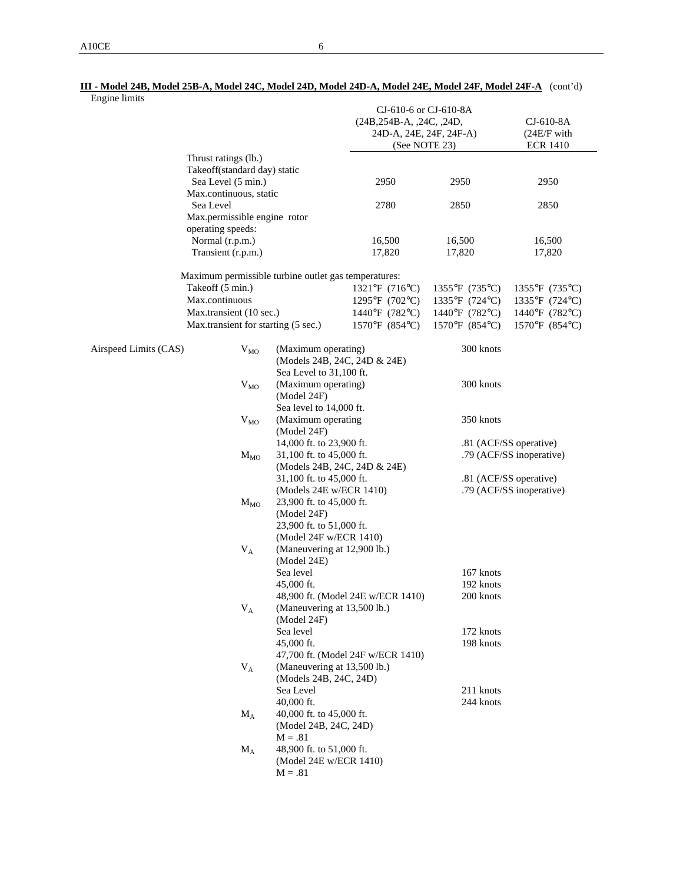| Engine limits         |                              |                                                      |                                                          |                          |                        |  |
|-----------------------|------------------------------|------------------------------------------------------|----------------------------------------------------------|--------------------------|------------------------|--|
|                       |                              |                                                      | CJ-610-6 or CJ-610-8A                                    |                          |                        |  |
|                       |                              |                                                      | $(24B, 254B-A, 24C, 24D,$                                |                          | CJ-610-8A              |  |
|                       |                              |                                                      | 24D-A, 24E, 24F, 24F-A)                                  |                          | (24E/F with            |  |
|                       |                              |                                                      | (See NOTE 23)                                            |                          | <b>ECR 1410</b>        |  |
|                       | Thrust ratings (lb.)         |                                                      |                                                          |                          |                        |  |
|                       | Takeoff(standard day) static |                                                      |                                                          |                          |                        |  |
|                       | Sea Level (5 min.)           |                                                      | 2950                                                     | 2950                     | 2950                   |  |
|                       | Max.continuous, static       |                                                      |                                                          |                          |                        |  |
| Sea Level             |                              |                                                      | 2780                                                     | 2850                     | 2850                   |  |
|                       | Max.permissible engine rotor |                                                      |                                                          |                          |                        |  |
|                       | operating speeds:            |                                                      |                                                          |                          |                        |  |
|                       | Normal (r.p.m.)              |                                                      |                                                          | 16,500                   | 16,500                 |  |
|                       | Transient (r.p.m.)           |                                                      | 16,500<br>17,820                                         | 17,820                   | 17,820                 |  |
|                       |                              |                                                      |                                                          |                          |                        |  |
|                       |                              | Maximum permissible turbine outlet gas temperatures: |                                                          |                          |                        |  |
|                       | Takeoff (5 min.)             |                                                      | 1321°F (716°C)                                           | 1355°F (735°C)           | 1355°F (735°C)         |  |
|                       | Max.continuous               |                                                      | 1295°F (702°C)                                           | 1335°F (724°C)           | 1335°F (724°C)         |  |
|                       | Max.transient (10 sec.)      |                                                      | 1440°F (782°C)                                           | 1440°F (782°C)           | 1440°F (782°C)         |  |
|                       |                              | Max.transient for starting (5 sec.)                  | 1570°F (854°C)                                           | 1570°F (854°C)           | 1570°F (854°C)         |  |
|                       |                              |                                                      |                                                          |                          |                        |  |
| Airspeed Limits (CAS) | $V_{MO}$                     | (Maximum operating)                                  | (Models 24B, 24C, 24D & 24E)                             | 300 knots                |                        |  |
|                       |                              |                                                      |                                                          |                          |                        |  |
|                       |                              | Sea Level to 31,100 ft.                              |                                                          |                          |                        |  |
|                       | $V_{MO}$                     | (Maximum operating)                                  |                                                          | 300 knots                |                        |  |
|                       |                              | (Model 24F)                                          |                                                          |                          |                        |  |
|                       |                              | Sea level to 14,000 ft.                              |                                                          |                          |                        |  |
|                       | $V_{MO}$                     | (Maximum operating                                   |                                                          | 350 knots                |                        |  |
|                       |                              | (Model 24F)                                          |                                                          |                          |                        |  |
|                       |                              | 14,000 ft. to 23,900 ft.                             |                                                          |                          | .81 (ACF/SS operative) |  |
|                       | $M_{MO}$                     | 31,100 ft. to 45,000 ft.                             |                                                          | .79 (ACF/SS inoperative) |                        |  |
|                       |                              |                                                      | (Models 24B, 24C, 24D & 24E)<br>31,100 ft. to 45,000 ft. |                          |                        |  |
|                       |                              |                                                      |                                                          |                          | .81 (ACF/SS operative) |  |
|                       |                              | (Models 24E w/ECR 1410)                              |                                                          | .79 (ACF/SS inoperative) |                        |  |
|                       | $M_{MO}$                     | 23,900 ft. to 45,000 ft.                             |                                                          |                          |                        |  |
|                       |                              | (Model 24F)                                          |                                                          |                          |                        |  |
|                       |                              | 23,900 ft. to 51,000 ft.                             |                                                          |                          |                        |  |
|                       |                              | (Model 24F w/ECR 1410)                               |                                                          |                          |                        |  |
|                       | $V_A$                        | (Maneuvering at 12,900 lb.)                          |                                                          |                          |                        |  |
|                       |                              | (Model 24E)                                          |                                                          |                          |                        |  |
|                       |                              | Sea level                                            |                                                          | 167 knots                |                        |  |
|                       |                              | 45,000 ft.                                           |                                                          | 192 knots                |                        |  |
|                       |                              |                                                      | 48,900 ft. (Model 24E w/ECR 1410)                        | 200 knots                |                        |  |
|                       |                              | (Maneuvering at 13,500 lb.)                          |                                                          |                          |                        |  |
|                       | $\rm V_A$                    |                                                      |                                                          |                          |                        |  |
|                       |                              | (Model 24F)                                          |                                                          |                          |                        |  |
|                       |                              | Sea level                                            |                                                          | 172 knots                |                        |  |
|                       |                              | 45,000 ft.                                           |                                                          | 198 knots                |                        |  |
|                       |                              |                                                      | 47,700 ft. (Model 24F w/ECR 1410)                        |                          |                        |  |
|                       | $V_A$                        | (Maneuvering at 13,500 lb.)                          |                                                          |                          |                        |  |
|                       |                              | (Models 24B, 24C, 24D)                               |                                                          |                          |                        |  |
|                       |                              | Sea Level                                            |                                                          | 211 knots                |                        |  |
|                       |                              | 40,000 ft.                                           |                                                          | 244 knots                |                        |  |
|                       | $\rm M_A$                    | 40,000 ft. to 45,000 ft.                             |                                                          |                          |                        |  |
|                       |                              |                                                      |                                                          |                          |                        |  |
|                       |                              | (Model 24B, 24C, 24D)                                |                                                          |                          |                        |  |

 $M_A$  48,900 ft. to 51,000 ft.

 $M = .81$ 

(Model 24E w/ECR 1410)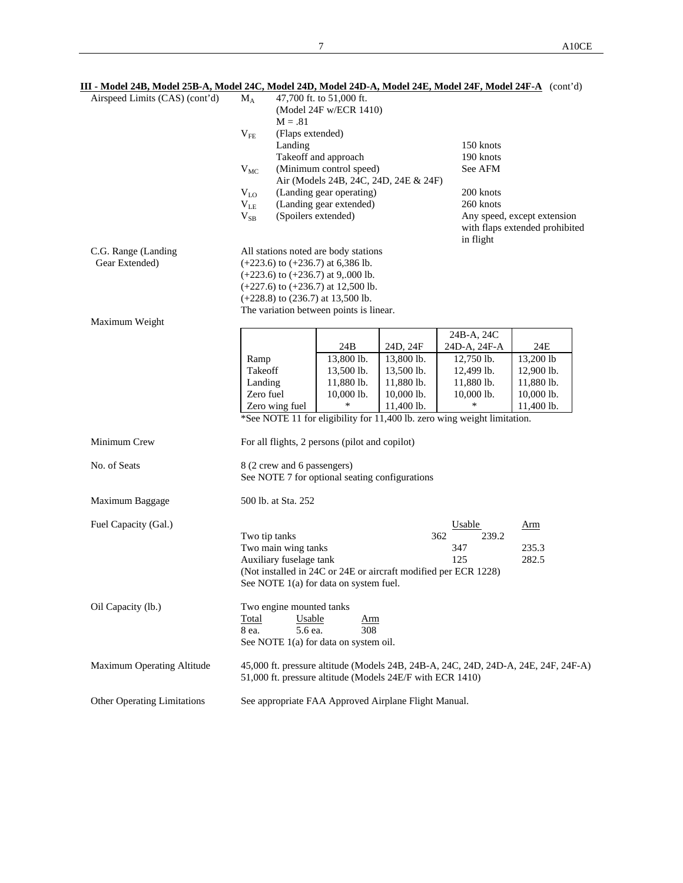| III - Model 24B, Model 25B-A, Model 24C, Model 24D, Model 24D-A, Model 24E, Model 24F, Model 24F-A (cont'd)<br>Airspeed Limits (CAS) (cont'd) | $\rm M_A$                               | $M = .81$                                                                     | 47,700 ft. to 51,000 ft.<br>(Model 24F w/ECR 1410)                                                                                                                                                                                                    |                                                                    |                                                                                                                                  |                                                                                    |  |  |  |
|-----------------------------------------------------------------------------------------------------------------------------------------------|-----------------------------------------|-------------------------------------------------------------------------------|-------------------------------------------------------------------------------------------------------------------------------------------------------------------------------------------------------------------------------------------------------|--------------------------------------------------------------------|----------------------------------------------------------------------------------------------------------------------------------|------------------------------------------------------------------------------------|--|--|--|
|                                                                                                                                               | $V_{FE}$                                | (Flaps extended)<br>Landing<br>150 knots<br>Takeoff and approach<br>190 knots |                                                                                                                                                                                                                                                       |                                                                    |                                                                                                                                  |                                                                                    |  |  |  |
|                                                                                                                                               | $V_{MC}$                                | (Minimum control speed)<br>See AFM<br>Air (Models 24B, 24C, 24D, 24E & 24F)   |                                                                                                                                                                                                                                                       |                                                                    |                                                                                                                                  |                                                                                    |  |  |  |
|                                                                                                                                               | $V_{LO}$<br>$V_{LE}$<br>$V_{SB}$        | (Spoilers extended)                                                           | (Landing gear operating)<br>(Landing gear extended)                                                                                                                                                                                                   |                                                                    | 200 knots<br>260 knots                                                                                                           | Any speed, except extension<br>with flaps extended prohibited                      |  |  |  |
| C.G. Range (Landing<br>Gear Extended)<br>Maximum Weight                                                                                       |                                         |                                                                               | All stations noted are body stations<br>$(+223.6)$ to $(+236.7)$ at 6,386 lb.<br>$(+223.6)$ to $(+236.7)$ at 9,.000 lb.<br>$(+227.6)$ to $(+236.7)$ at 12,500 lb.<br>$(+228.8)$ to $(236.7)$ at 13,500 lb.<br>The variation between points is linear. |                                                                    | in flight                                                                                                                        |                                                                                    |  |  |  |
|                                                                                                                                               |                                         |                                                                               | 24B                                                                                                                                                                                                                                                   | 24D, 24F                                                           | 24B-A, 24C<br>24D-A, 24F-A                                                                                                       | 24E                                                                                |  |  |  |
|                                                                                                                                               | Ramp<br>Takeoff<br>Landing<br>Zero fuel | Zero wing fuel                                                                | 13,800 lb.<br>13,500 lb.<br>11,880 lb.<br>10,000 lb.<br>*                                                                                                                                                                                             | 13,800 lb.<br>13,500 lb.<br>11,880 lb.<br>10,000 lb.<br>11,400 lb. | 12,750 lb.<br>12,499 lb.<br>11,880 lb.<br>10,000 lb.<br>*See NOTE 11 for eligibility for 11,400 lb. zero wing weight limitation. | 13,200 lb<br>12,900 lb.<br>11,880 lb.<br>10,000 lb.<br>11,400 lb.                  |  |  |  |
| Minimum Crew                                                                                                                                  |                                         |                                                                               | For all flights, 2 persons (pilot and copilot)                                                                                                                                                                                                        |                                                                    |                                                                                                                                  |                                                                                    |  |  |  |
| No. of Seats                                                                                                                                  |                                         | 8 (2 crew and 6 passengers)                                                   | See NOTE 7 for optional seating configurations                                                                                                                                                                                                        |                                                                    |                                                                                                                                  |                                                                                    |  |  |  |
| Maximum Baggage                                                                                                                               |                                         | 500 lb. at Sta. 252                                                           |                                                                                                                                                                                                                                                       |                                                                    |                                                                                                                                  |                                                                                    |  |  |  |
| Fuel Capacity (Gal.)                                                                                                                          |                                         | Two tip tanks<br>Two main wing tanks<br>Auxiliary fuselage tank               |                                                                                                                                                                                                                                                       |                                                                    | Usable<br>362<br>239.2<br>347<br>125<br>(Not installed in 24C or 24E or aircraft modified per ECR 1228)                          | <u>Arm</u><br>235.3<br>282.5                                                       |  |  |  |
| Oil Capacity (lb.)                                                                                                                            | Total<br>8 ea.                          | Two engine mounted tanks<br>Usable<br>5.6 ea.                                 | See NOTE 1(a) for data on system fuel.<br><u>Arm</u><br>308<br>See NOTE 1(a) for data on system oil.                                                                                                                                                  |                                                                    |                                                                                                                                  |                                                                                    |  |  |  |
| Maximum Operating Altitude                                                                                                                    |                                         |                                                                               | 51,000 ft. pressure altitude (Models 24E/F with ECR 1410)                                                                                                                                                                                             |                                                                    |                                                                                                                                  | 45,000 ft. pressure altitude (Models 24B, 24B-A, 24C, 24D, 24D-A, 24E, 24F, 24F-A) |  |  |  |
| <b>Other Operating Limitations</b>                                                                                                            |                                         |                                                                               | See appropriate FAA Approved Airplane Flight Manual.                                                                                                                                                                                                  |                                                                    |                                                                                                                                  |                                                                                    |  |  |  |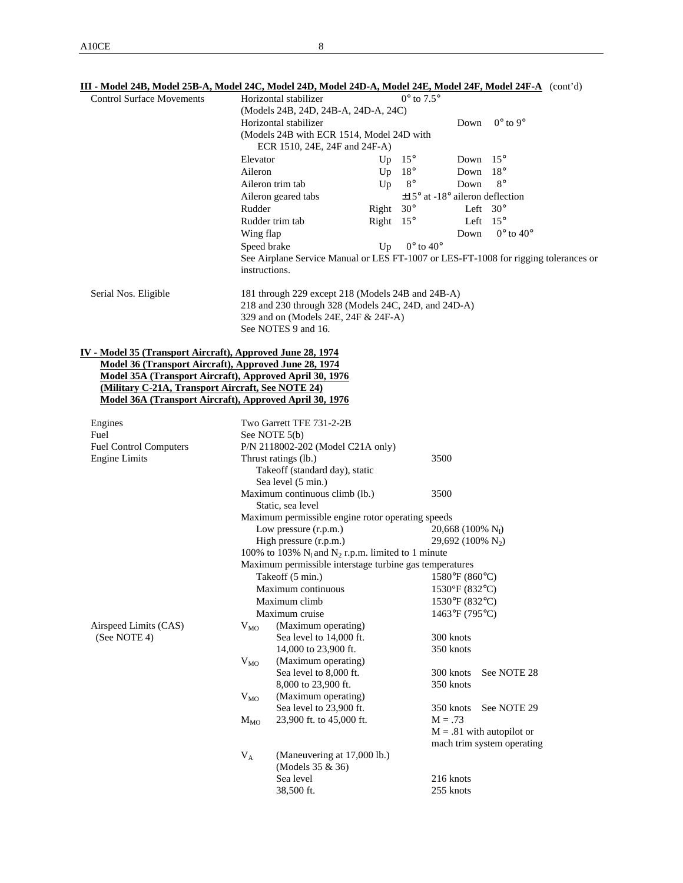| III - Model 24B, Model 25B-A, Model 24C, Model 24D, Model 24D-A, Model 24E, Model 24F, Model 24F-A (cont'd)<br><b>Control Surface Movements</b> |               | Horizontal stabilizer<br>(Models 24B, 24D, 24B-A, 24D-A, 24C)                       |                  | $0^{\circ}$ to $7.5^{\circ}$ |                        |                                             |  |  |  |  |
|-------------------------------------------------------------------------------------------------------------------------------------------------|---------------|-------------------------------------------------------------------------------------|------------------|------------------------------|------------------------|---------------------------------------------|--|--|--|--|
|                                                                                                                                                 |               | $0^\circ$ to $9^\circ$<br>Horizontal stabilizer<br>Down                             |                  |                              |                        |                                             |  |  |  |  |
|                                                                                                                                                 |               | (Models 24B with ECR 1514, Model 24D with<br>ECR 1510, 24E, 24F and 24F-A)          |                  |                              |                        |                                             |  |  |  |  |
|                                                                                                                                                 | Elevator      |                                                                                     | Up               | $15^{\circ}$                 | Down                   | $15^{\circ}$                                |  |  |  |  |
|                                                                                                                                                 | Aileron       |                                                                                     | Up               | $18^{\circ}$                 | Down                   | $18^{\circ}$                                |  |  |  |  |
|                                                                                                                                                 |               | Aileron trim tab                                                                    | Up               | $8^{\circ}$                  | Down                   | $8^{\circ}$                                 |  |  |  |  |
|                                                                                                                                                 |               | Aileron geared tabs                                                                 |                  |                              |                        | $\pm 15^{\circ}$ at -18° aileron deflection |  |  |  |  |
|                                                                                                                                                 | Rudder        |                                                                                     | Right $30^\circ$ |                              |                        | Left $30^\circ$                             |  |  |  |  |
|                                                                                                                                                 |               | Rudder trim tab                                                                     | Right            | $15^{\circ}$                 |                        | Left $15^{\circ}$                           |  |  |  |  |
|                                                                                                                                                 | Wing flap     |                                                                                     |                  |                              | Down                   | $0^{\circ}$ to $40^{\circ}$                 |  |  |  |  |
|                                                                                                                                                 | Speed brake   |                                                                                     | Up               | $0^{\circ}$ to $40^{\circ}$  |                        |                                             |  |  |  |  |
|                                                                                                                                                 |               | See Airplane Service Manual or LES FT-1007 or LES-FT-1008 for rigging tolerances or |                  |                              |                        |                                             |  |  |  |  |
|                                                                                                                                                 | instructions. |                                                                                     |                  |                              |                        |                                             |  |  |  |  |
| Serial Nos. Eligible                                                                                                                            |               | 181 through 229 except 218 (Models 24B and 24B-A)                                   |                  |                              |                        |                                             |  |  |  |  |
|                                                                                                                                                 |               | 218 and 230 through 328 (Models 24C, 24D, and 24D-A)                                |                  |                              |                        |                                             |  |  |  |  |
|                                                                                                                                                 |               | 329 and on (Models 24E, 24F & 24F-A)                                                |                  |                              |                        |                                             |  |  |  |  |
|                                                                                                                                                 |               | See NOTES 9 and 16.                                                                 |                  |                              |                        |                                             |  |  |  |  |
| IV - Model 35 (Transport Aircraft), Approved June 28, 1974<br>Model 36 (Transport Aircraft), Approved June 28, 1974                             |               |                                                                                     |                  |                              |                        |                                             |  |  |  |  |
| Model 35A (Transport Aircraft), Approved April 30, 1976                                                                                         |               |                                                                                     |                  |                              |                        |                                             |  |  |  |  |
| (Military C-21A, Transport Aircraft, See NOTE 24)                                                                                               |               |                                                                                     |                  |                              |                        |                                             |  |  |  |  |
| Model 36A (Transport Aircraft), Approved April 30, 1976                                                                                         |               |                                                                                     |                  |                              |                        |                                             |  |  |  |  |
| Engines                                                                                                                                         |               | Two Garrett TFE 731-2-2B                                                            |                  |                              |                        |                                             |  |  |  |  |
| Fuel                                                                                                                                            |               | See NOTE 5(b)                                                                       |                  |                              |                        |                                             |  |  |  |  |
| <b>Fuel Control Computers</b>                                                                                                                   |               | P/N 2118002-202 (Model C21A only)                                                   |                  |                              |                        |                                             |  |  |  |  |
| <b>Engine Limits</b>                                                                                                                            |               | Thrust ratings (lb.)                                                                |                  |                              | 3500                   |                                             |  |  |  |  |
|                                                                                                                                                 |               | Takeoff (standard day), static                                                      |                  |                              |                        |                                             |  |  |  |  |
|                                                                                                                                                 |               | Sea level (5 min.)<br>Maximum continuous climb (lb.)                                |                  |                              | 3500                   |                                             |  |  |  |  |
|                                                                                                                                                 |               | Static, sea level                                                                   |                  |                              |                        |                                             |  |  |  |  |
|                                                                                                                                                 |               | Maximum permissible engine rotor operating speeds                                   |                  |                              |                        |                                             |  |  |  |  |
|                                                                                                                                                 |               | Low pressure (r.p.m.)                                                               |                  |                              | 20,668 (100% $N_l$ )   |                                             |  |  |  |  |
|                                                                                                                                                 |               | High pressure (r.p.m.)                                                              |                  |                              | 29,692 (100% $N_2$ )   |                                             |  |  |  |  |
|                                                                                                                                                 |               | 100% to 103% $N_1$ and $N_2$ r.p.m. limited to 1 minute                             |                  |                              |                        |                                             |  |  |  |  |
|                                                                                                                                                 |               | Maximum permissible interstage turbine gas temperatures                             |                  |                              |                        |                                             |  |  |  |  |
|                                                                                                                                                 |               | Takeoff $(5 \text{ min.})$ 1580°F $(860^{\circ}C)$                                  |                  |                              |                        |                                             |  |  |  |  |
|                                                                                                                                                 |               | Maximum continuous                                                                  |                  |                              | 1530°F (832°C)         |                                             |  |  |  |  |
|                                                                                                                                                 |               | Maximum climb                                                                       |                  |                              | 1530°F (832°C)         |                                             |  |  |  |  |
|                                                                                                                                                 |               | Maximum cruise                                                                      |                  |                              | 1463°F (795°C)         |                                             |  |  |  |  |
| Airspeed Limits (CAS)                                                                                                                           | $V_{MO}$      | (Maximum operating)                                                                 |                  |                              |                        |                                             |  |  |  |  |
| (See NOTE 4)                                                                                                                                    |               | Sea level to 14,000 ft.                                                             |                  |                              | 300 knots              |                                             |  |  |  |  |
|                                                                                                                                                 |               | 14,000 to 23,900 ft.                                                                |                  |                              | 350 knots              |                                             |  |  |  |  |
|                                                                                                                                                 | $V_{MO}$      | (Maximum operating)                                                                 |                  |                              |                        |                                             |  |  |  |  |
|                                                                                                                                                 |               | Sea level to 8,000 ft.<br>8,000 to 23,900 ft.                                       |                  |                              | 300 knots<br>350 knots | See NOTE 28                                 |  |  |  |  |
|                                                                                                                                                 |               | (Maximum operating)                                                                 |                  |                              |                        |                                             |  |  |  |  |
|                                                                                                                                                 | $V_{MO}$      | Sea level to 23,900 ft.                                                             |                  |                              | 350 knots              | See NOTE 29                                 |  |  |  |  |
|                                                                                                                                                 | $M_{\rm MO}$  | 23,900 ft. to 45,000 ft.                                                            |                  |                              | $M = .73$              |                                             |  |  |  |  |
|                                                                                                                                                 |               |                                                                                     |                  |                              |                        | $M = .81$ with autopilot or                 |  |  |  |  |
|                                                                                                                                                 |               |                                                                                     |                  |                              |                        | mach trim system operating                  |  |  |  |  |
|                                                                                                                                                 | $V_A$         | (Maneuvering at 17,000 lb.)                                                         |                  |                              |                        |                                             |  |  |  |  |
|                                                                                                                                                 |               | (Models 35 & 36)                                                                    |                  |                              |                        |                                             |  |  |  |  |
|                                                                                                                                                 |               | Sea level                                                                           |                  |                              | 216 knots              |                                             |  |  |  |  |
|                                                                                                                                                 |               | 38,500 ft.                                                                          |                  |                              | 255 knots              |                                             |  |  |  |  |
|                                                                                                                                                 |               |                                                                                     |                  |                              |                        |                                             |  |  |  |  |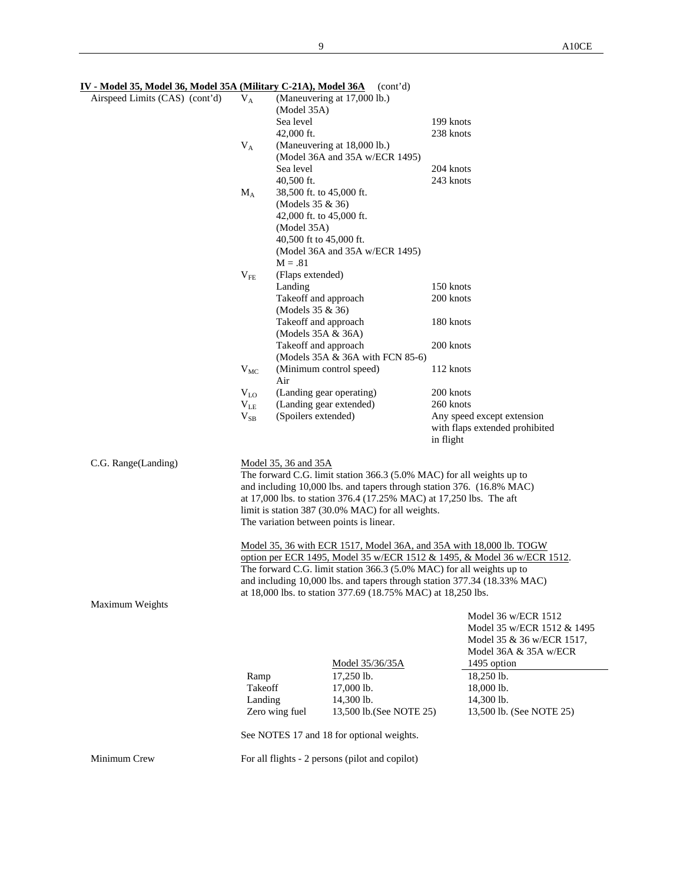| Airspeed Limits (CAS) (cont'd) | $V_A$        | (Model 35A)                             | (Maneuvering at 17,000 lb.)                                           |                                                                          |
|--------------------------------|--------------|-----------------------------------------|-----------------------------------------------------------------------|--------------------------------------------------------------------------|
|                                |              | Sea level                               |                                                                       | 199 knots                                                                |
|                                |              | 42,000 ft.                              |                                                                       | 238 knots                                                                |
|                                | $V_A$        |                                         | (Maneuvering at 18,000 lb.)                                           |                                                                          |
|                                |              |                                         | (Model 36A and 35A w/ECR 1495)                                        |                                                                          |
|                                |              | Sea level                               |                                                                       | 204 knots                                                                |
|                                |              | 40,500 ft.                              |                                                                       | 243 knots                                                                |
|                                | $M_A$        | 38,500 ft. to 45,000 ft.                |                                                                       |                                                                          |
|                                |              | (Models 35 & 36)                        |                                                                       |                                                                          |
|                                |              | 42,000 ft. to 45,000 ft.<br>(Model 35A) |                                                                       |                                                                          |
|                                |              | 40,500 ft to 45,000 ft.                 |                                                                       |                                                                          |
|                                |              |                                         | (Model 36A and 35A w/ECR 1495)                                        |                                                                          |
|                                |              | $M = .81$                               |                                                                       |                                                                          |
|                                | $V_{FE}$     | (Flaps extended)                        |                                                                       |                                                                          |
|                                |              | Landing                                 |                                                                       | 150 knots                                                                |
|                                |              | Takeoff and approach                    |                                                                       | 200 knots                                                                |
|                                |              | (Models 35 & 36)                        |                                                                       |                                                                          |
|                                |              | Takeoff and approach                    |                                                                       | 180 knots                                                                |
|                                |              | (Models 35A & 36A)                      |                                                                       |                                                                          |
|                                |              | Takeoff and approach                    |                                                                       | 200 knots                                                                |
|                                |              |                                         | (Models 35A & 36A with FCN 85-6)                                      |                                                                          |
|                                | $V_{MC}$     | Air                                     | (Minimum control speed)                                               | 112 knots                                                                |
|                                | $V_{L0}$     |                                         | (Landing gear operating)                                              | 200 knots                                                                |
|                                | $V_{LE}$     |                                         | (Landing gear extended)                                               | 260 knots                                                                |
|                                | $\rm V_{SB}$ | (Spoilers extended)                     |                                                                       | Any speed except extension                                               |
|                                |              |                                         |                                                                       | with flaps extended prohibited                                           |
|                                |              |                                         |                                                                       | in flight                                                                |
| C.G. Range(Landing)            |              | Model 35, 36 and 35A                    |                                                                       |                                                                          |
|                                |              |                                         | The forward C.G. limit station 366.3 (5.0% MAC) for all weights up to |                                                                          |
|                                |              |                                         |                                                                       | and including 10,000 lbs. and tapers through station 376. (16.8% MAC)    |
|                                |              |                                         | at 17,000 lbs. to station 376.4 (17.25% MAC) at 17,250 lbs. The aft   |                                                                          |
|                                |              |                                         | limit is station 387 (30.0% MAC) for all weights.                     |                                                                          |
|                                |              |                                         | The variation between points is linear.                               |                                                                          |
|                                |              |                                         |                                                                       | Model 35, 36 with ECR 1517, Model 36A, and 35A with 18,000 lb. TOGW      |
|                                |              |                                         |                                                                       | option per ECR 1495, Model 35 w/ECR 1512 & 1495, & Model 36 w/ECR 1512.  |
|                                |              |                                         | The forward C.G. limit station 366.3 (5.0% MAC) for all weights up to | and including 10,000 lbs. and tapers through station 377.34 (18.33% MAC) |
|                                |              |                                         | at 18,000 lbs. to station 377.69 (18.75% MAC) at 18,250 lbs.          |                                                                          |
| Maximum Weights                |              |                                         |                                                                       |                                                                          |
|                                |              |                                         |                                                                       | Model 36 w/ECR 1512                                                      |
|                                |              |                                         |                                                                       | Model 35 w/ECR 1512 & 1495                                               |
|                                |              |                                         |                                                                       | Model 35 & 36 w/ECR 1517,                                                |
|                                |              |                                         |                                                                       | Model 36A & 35A w/ECR                                                    |
|                                |              |                                         | Model 35/36/35A                                                       | 1495 option                                                              |
|                                | Ramp         |                                         | 17,250 lb.                                                            | 18,250 lb.                                                               |
|                                | Takeoff      |                                         | 17,000 lb.                                                            | 18,000 lb.                                                               |
|                                | Landing      |                                         | 14,300 lb.                                                            | 14,300 lb.                                                               |
|                                |              | Zero wing fuel                          | 13,500 lb. (See NOTE 25)                                              | 13,500 lb. (See NOTE 25)                                                 |
|                                |              |                                         | See NOTES 17 and 18 for optional weights.                             |                                                                          |
| Minimum Crew                   |              |                                         | For all flights - 2 persons (pilot and copilot)                       |                                                                          |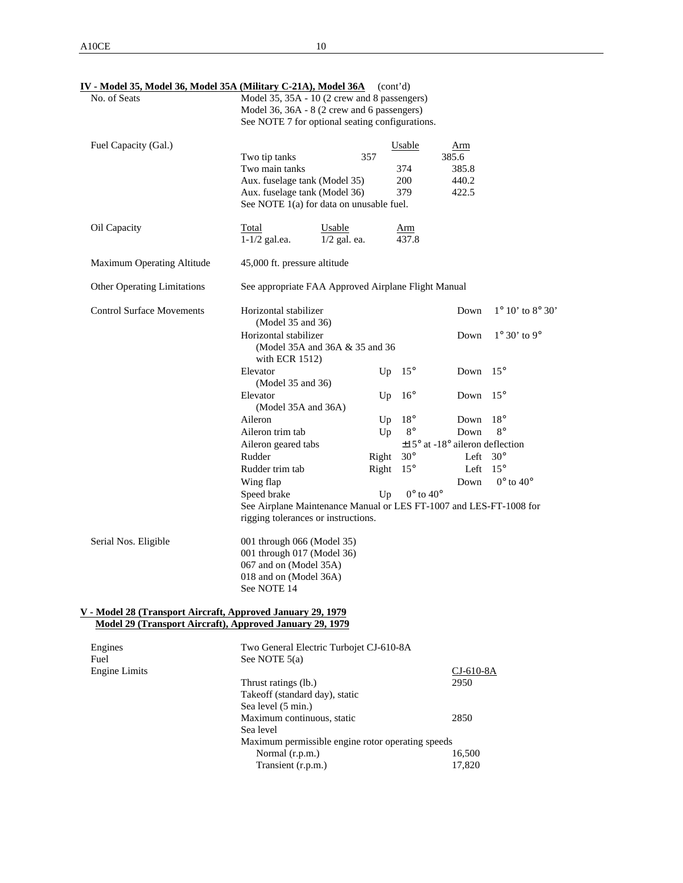| No. of Seats                       | Model 35, 35A - 10 (2 crew and 8 passengers)                       |                                |                             |                                             |                                    |  |  |
|------------------------------------|--------------------------------------------------------------------|--------------------------------|-----------------------------|---------------------------------------------|------------------------------------|--|--|
|                                    | Model 36, 36A - 8 (2 crew and 6 passengers)                        |                                |                             |                                             |                                    |  |  |
|                                    | See NOTE 7 for optional seating configurations.                    |                                |                             |                                             |                                    |  |  |
| Fuel Capacity (Gal.)               |                                                                    |                                | Usable                      | Arm                                         |                                    |  |  |
|                                    | Two tip tanks                                                      | 357                            |                             | 385.6                                       |                                    |  |  |
|                                    | Two main tanks                                                     |                                | 374                         | 385.8                                       |                                    |  |  |
|                                    | Aux. fuselage tank (Model 35)                                      |                                | 200                         | 440.2                                       |                                    |  |  |
|                                    | Aux. fuselage tank (Model 36)                                      |                                | 379                         | 422.5                                       |                                    |  |  |
|                                    | See NOTE 1(a) for data on unusable fuel.                           |                                |                             |                                             |                                    |  |  |
| Oil Capacity                       | Total                                                              | Usable                         | Arm                         |                                             |                                    |  |  |
|                                    | $1-1/2$ gal.ea.                                                    | $1/2$ gal. ea.                 | 437.8                       |                                             |                                    |  |  |
| Maximum Operating Altitude         | 45,000 ft. pressure altitude                                       |                                |                             |                                             |                                    |  |  |
| <b>Other Operating Limitations</b> | See appropriate FAA Approved Airplane Flight Manual                |                                |                             |                                             |                                    |  |  |
| <b>Control Surface Movements</b>   | Horizontal stabilizer<br>(Model 35 and 36)                         |                                |                             | Down                                        | $1^{\circ} 10'$ to $8^{\circ} 30'$ |  |  |
|                                    | Horizontal stabilizer                                              |                                |                             | Down                                        | $1^\circ 30'$ to 9 $^\circ$        |  |  |
|                                    |                                                                    | (Model 35A and 36A & 35 and 36 |                             |                                             |                                    |  |  |
|                                    | with ECR $1512$ )                                                  |                                |                             |                                             |                                    |  |  |
|                                    | Elevator                                                           | Up                             | $15^{\circ}$                | Down                                        | $15^\circ$                         |  |  |
|                                    | (Model 35 and 36)                                                  |                                |                             |                                             |                                    |  |  |
|                                    | Elevator                                                           | Up                             | $16^{\circ}$                | Down                                        | $15^{\circ}$                       |  |  |
|                                    | (Model 35A and 36A)                                                |                                |                             |                                             |                                    |  |  |
|                                    | Aileron                                                            | Up                             | $18^{\circ}$                | Down                                        | $18^{\circ}$                       |  |  |
|                                    | Aileron trim tab                                                   | Up                             | $8^{\circ}$                 | Down                                        | $8^{\circ}$                        |  |  |
|                                    | Aileron geared tabs                                                |                                |                             | $\pm 15^{\circ}$ at -18° aileron deflection |                                    |  |  |
|                                    | Rudder                                                             | Right                          | $30^\circ$                  | Left                                        | $30^\circ$                         |  |  |
|                                    | Rudder trim tab                                                    | Right                          | $15^{\circ}$                | Left                                        | $15^{\circ}$                       |  |  |
|                                    | Wing flap                                                          |                                |                             | Down                                        | $0^{\circ}$ to $40^{\circ}$        |  |  |
|                                    | Speed brake                                                        | Up                             | $0^{\circ}$ to $40^{\circ}$ |                                             |                                    |  |  |
|                                    | See Airplane Maintenance Manual or LES FT-1007 and LES-FT-1008 for |                                |                             |                                             |                                    |  |  |
|                                    | rigging tolerances or instructions.                                |                                |                             |                                             |                                    |  |  |

Serial Nos. Eligible 001 through 066 (Model 35) 001 through 017 (Model 36) 067 and on (Model 35A) 018 and on (Model 36A) See NOTE 14

#### **V - Model 28 (Transport Aircraft, Approved January 29, 1979 Model 29 (Transport Aircraft), Approved January 29, 1979**

| Two General Electric Turbojet CJ-610-8A<br>Engines |             |
|----------------------------------------------------|-------------|
| See NOTE $5(a)$<br>Fuel                            |             |
| Engine Limits                                      | $CI-610-8A$ |
| Thrust ratings (lb.)                               | 2950        |
| Take off (standard day), static                    |             |
| Sea level (5 min.)                                 |             |
| Maximum continuous, static                         | 2850        |
| Sea level                                          |             |
| Maximum permissible engine rotor operating speeds  |             |
| Normal (r.p.m.)                                    | 16.500      |
| Transient (r.p.m.)                                 | 17,820      |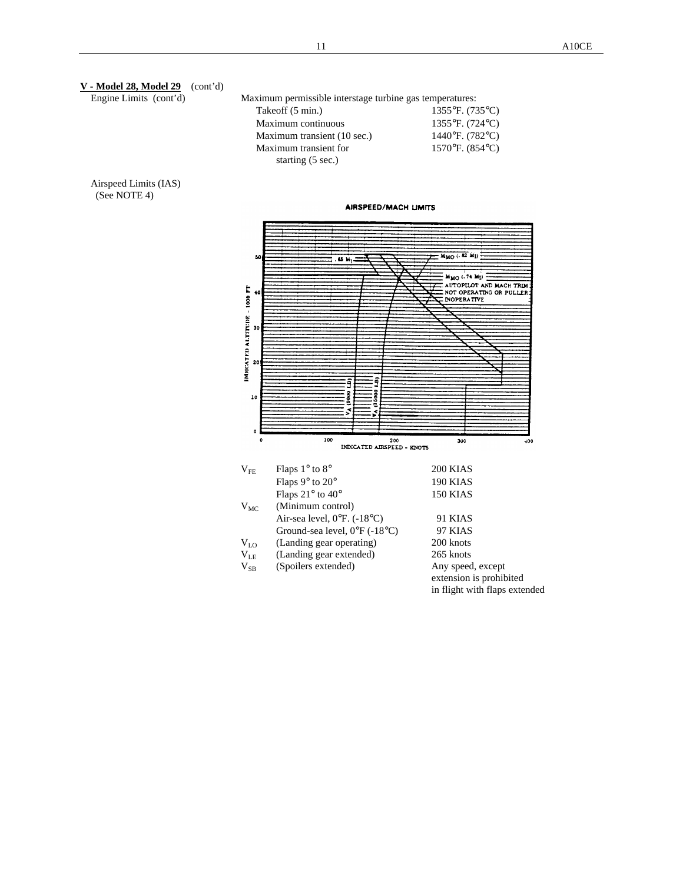| V - Model 28, Model 29<br>(cont <sup>'</sup> d) |                                                          |                                                |
|-------------------------------------------------|----------------------------------------------------------|------------------------------------------------|
| Engine Limits (cont'd)                          | Maximum permissible interstage turbine gas temperatures: |                                                |
|                                                 | Takeoff (5 min.)                                         | 1355°F. (735°C)                                |
|                                                 | Maximum continuous                                       | 1355°F. (724°C)                                |
|                                                 | Maximum transient (10 sec.)                              | 1440°F. (782°C)                                |
|                                                 | Maximum transient for                                    | 1570°F. (854°C)                                |
|                                                 | starting (5 sec.)                                        |                                                |
| Airspeed Limits (IAS)                           |                                                          |                                                |
| (See NOTE 4)                                    |                                                          |                                                |
|                                                 | <b>AIRSPEED/MACH LIMITS</b>                              |                                                |
|                                                 |                                                          |                                                |
|                                                 |                                                          |                                                |
|                                                 | 50<br>. 65 M,                                            | Ммо (. 82 МІ)                                  |
|                                                 |                                                          |                                                |
|                                                 |                                                          | MMO (.74 MI)<br><b>AUTOPILOT AND MACH TRIM</b> |
|                                                 | IMDICATED ALTITUDE - 1000 FT<br>40                       | NOT OPERATING OR PULLER<br><b>INOPERATIVE</b>  |
|                                                 |                                                          |                                                |
|                                                 |                                                          |                                                |
|                                                 | 30                                                       |                                                |
|                                                 |                                                          |                                                |
|                                                 | 20                                                       |                                                |
|                                                 |                                                          |                                                |
|                                                 | ទ្ម<br>ĝ                                                 |                                                |
|                                                 | ooce)<br>5000<br>10                                      |                                                |
|                                                 | $\overline{\mathcal{S}}$                                 |                                                |
|                                                 | ž,                                                       |                                                |
|                                                 | $\pmb{\mathsf{o}}$                                       |                                                |
|                                                 | 100<br>0<br>200<br>INDICATED AIRSPEED - KNOTS            | 300<br>$+00$                                   |
|                                                 | Flaps 1° to 8°<br>$\rm V_{FE}$                           | 200 KIAS                                       |
|                                                 | Flaps 9° to 20°                                          | 190 KIAS                                       |
|                                                 | Flaps 21° to 40°                                         | 150 KIAS                                       |
|                                                 | (Minimum control)<br>$V_{MC}$                            |                                                |
|                                                 | Air-sea level, 0°F. (-18°C)                              | 91 KIAS                                        |
|                                                 | Ground-sea level, 0°F (-18°C)                            | 97 KIAS                                        |
|                                                 | (Landing gear operating)<br>$V_{L0}$                     | 200 knots                                      |
|                                                 | (Landing gear extended)<br>$V_{LE}$                      | 265 knots                                      |
|                                                 | (Spoilers extended)<br>$V_{SB}$                          | Any speed, except                              |
|                                                 |                                                          | extension is prohibited                        |
|                                                 |                                                          | in flight with flaps extended                  |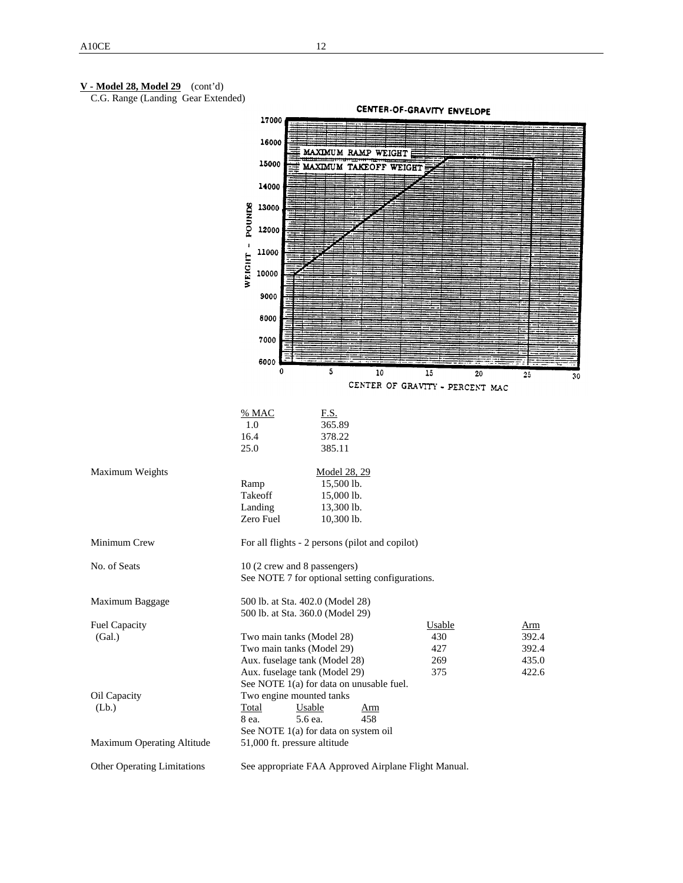#### **V - Model 28, Model 29** (cont'd)

C.G. Range (Landing Gear Extended)

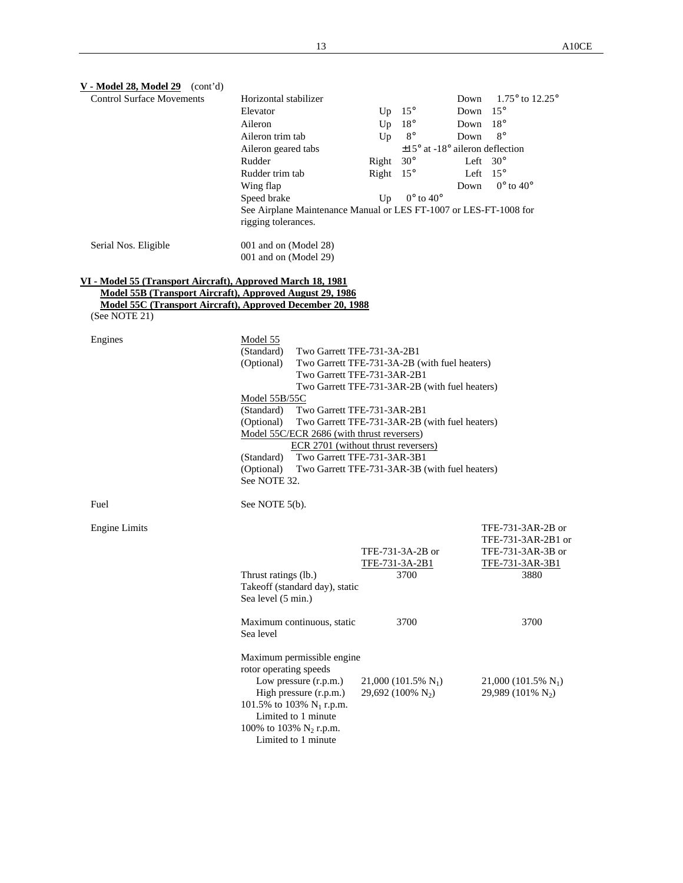| $V - Model 28$ , Model 29 (cont'd)                          |                                                                   |       |                                             |      |                                   |
|-------------------------------------------------------------|-------------------------------------------------------------------|-------|---------------------------------------------|------|-----------------------------------|
| <b>Control Surface Movements</b>                            | Horizontal stabilizer                                             |       |                                             | Down | 1.75 $\degree$ to 12.25 $\degree$ |
|                                                             | Elevator                                                          | Up    | $15^{\circ}$                                | Down | $15^{\circ}$                      |
|                                                             | Aileron                                                           | Up    | $18^{\circ}$                                | Down | $18^{\circ}$                      |
|                                                             | Aileron trim tab                                                  | Up    | $8^{\circ}$                                 | Down | $8^{\circ}$                       |
|                                                             | Aileron geared tabs                                               |       | $\pm 15^{\circ}$ at -18° aileron deflection |      |                                   |
|                                                             | Rudder                                                            | Right | $30^\circ$                                  |      | Left $30^\circ$                   |
|                                                             | Rudder trim tab                                                   | Right | $15^{\circ}$                                |      | Left $15^\circ$                   |
|                                                             | Wing flap                                                         |       |                                             | Down | $0^{\circ}$ to $40^{\circ}$       |
|                                                             | Speed brake                                                       | Up    | $0^{\circ}$ to $40^{\circ}$                 |      |                                   |
|                                                             | See Airplane Maintenance Manual or LES FT-1007 or LES-FT-1008 for |       |                                             |      |                                   |
|                                                             | rigging tolerances.                                               |       |                                             |      |                                   |
|                                                             |                                                                   |       |                                             |      |                                   |
| Serial Nos. Eligible                                        | 001 and on (Model 28)                                             |       |                                             |      |                                   |
|                                                             | 001 and on (Model 29)                                             |       |                                             |      |                                   |
|                                                             |                                                                   |       |                                             |      |                                   |
| VI - Model 55 (Transport Aircraft), Approved March 18, 1981 |                                                                   |       |                                             |      |                                   |
| Model 55B (Transport Aircraft), Approved August 29, 1986    |                                                                   |       |                                             |      |                                   |
| Model 55C (Transport Aircraft), Approved December 20, 1988  |                                                                   |       |                                             |      |                                   |
| (See NOTE 21)                                               |                                                                   |       |                                             |      |                                   |
| Engines                                                     | Model 55                                                          |       |                                             |      |                                   |
|                                                             | (Standard)<br>Two Garrett TFE-731-3A-2B1                          |       |                                             |      |                                   |
|                                                             | (Optional)<br>Two Garrett TFE-731-3A-2B (with fuel heaters)       |       |                                             |      |                                   |
|                                                             | Two Garrett TFE-731-3AR-2B1                                       |       |                                             |      |                                   |
|                                                             | Two Garrett TFE-731-3AR-2B (with fuel heaters)                    |       |                                             |      |                                   |
|                                                             | Model 55B/55C                                                     |       |                                             |      |                                   |
|                                                             | Two Garrett TFE-731-3AR-2B1<br>(Standard)                         |       |                                             |      |                                   |
|                                                             | (Optional)<br>Two Garrett TFE-731-3AR-2B (with fuel heaters)      |       |                                             |      |                                   |
|                                                             | Model 55C/ECR 2686 (with thrust reversers)                        |       |                                             |      |                                   |
|                                                             | ECR 2701 (without thrust reversers)                               |       |                                             |      |                                   |
|                                                             | Two Garrett TFE-731-3AR-3B1<br>(Standard)                         |       |                                             |      |                                   |
|                                                             | (Optional)<br>Two Garrett TFE-731-3AR-3B (with fuel heaters)      |       |                                             |      |                                   |
|                                                             | See NOTE 32.                                                      |       |                                             |      |                                   |
|                                                             |                                                                   |       |                                             |      |                                   |
| Fuel                                                        | See NOTE 5(b).                                                    |       |                                             |      |                                   |
|                                                             |                                                                   |       |                                             |      |                                   |
| <b>Engine Limits</b>                                        |                                                                   |       |                                             |      | TFE-731-3AR-2B or                 |
|                                                             |                                                                   |       |                                             |      | TFE-731-3AR-2B1 or                |
|                                                             |                                                                   |       | TFE-731-3A-2B or                            |      | TFE-731-3AR-3B or                 |
|                                                             |                                                                   |       | TFE-731-3A-2B1<br>3700                      |      | TFE-731-3AR-3B1<br>3880           |
|                                                             | Thrust ratings (lb.)<br>Takeoff (standard day), static            |       |                                             |      |                                   |
|                                                             | Sea level (5 min.)                                                |       |                                             |      |                                   |
|                                                             |                                                                   |       |                                             |      |                                   |
|                                                             | Maximum continuous, static                                        |       | 3700                                        |      | 3700                              |
|                                                             | Sea level                                                         |       |                                             |      |                                   |
|                                                             |                                                                   |       |                                             |      |                                   |
|                                                             | Maximum permissible engine                                        |       |                                             |      |                                   |
|                                                             | rotor operating speeds                                            |       |                                             |      |                                   |
|                                                             | Low pressure (r.p.m.)                                             |       | 21,000 (101.5% $N_1$ )                      |      | 21,000 (101.5% $N_1$ )            |
|                                                             | High pressure (r.p.m.)                                            |       | 29,692 (100% $N_2$ )                        |      | 29,989 (101% $N_2$ )              |
|                                                             | 101.5% to 103% $N_1$ r.p.m.                                       |       |                                             |      |                                   |
|                                                             | Limited to 1 minute                                               |       |                                             |      |                                   |
|                                                             | 100% to 103% $N_2$ r.p.m.                                         |       |                                             |      |                                   |
|                                                             | Limited to 1 minute                                               |       |                                             |      |                                   |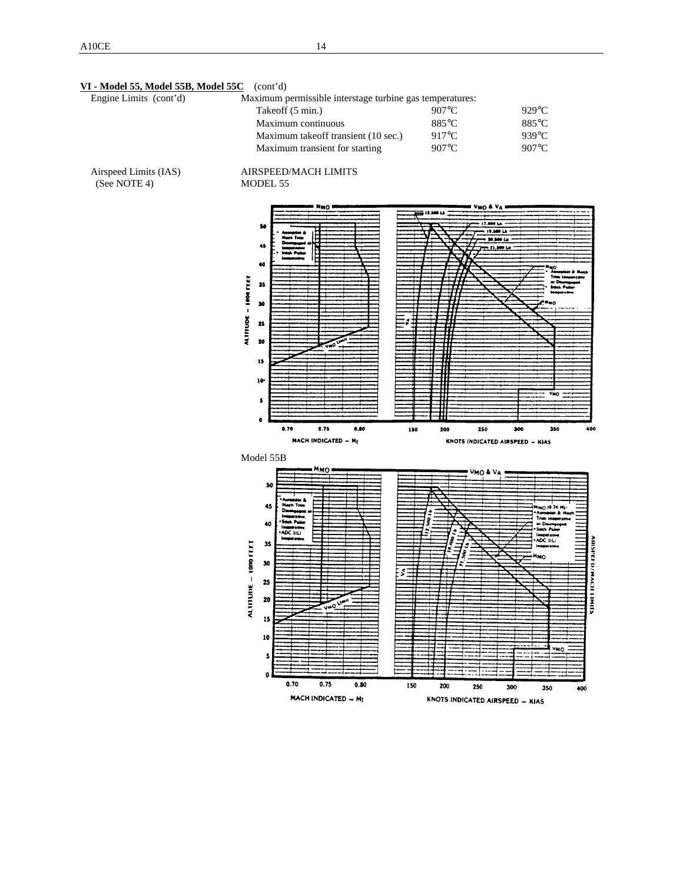**VI - Model 55, Model 55B, Model 55C** (cont'd)

| Engine Limits (cont'd)                | Maximum permissible interstage turbine gas temperatures:                                                                                                                               |                                                                         |                                                                                                                                                                                      |
|---------------------------------------|----------------------------------------------------------------------------------------------------------------------------------------------------------------------------------------|-------------------------------------------------------------------------|--------------------------------------------------------------------------------------------------------------------------------------------------------------------------------------|
|                                       | Takeoff (5 min.)                                                                                                                                                                       | 907°C                                                                   | 929°C                                                                                                                                                                                |
|                                       | Maximum continuous                                                                                                                                                                     | 885°C                                                                   | 885°C                                                                                                                                                                                |
|                                       | Maximum takeoff transient (10 sec.)                                                                                                                                                    | 917°C                                                                   | 939°C                                                                                                                                                                                |
|                                       | Maximum transient for starting                                                                                                                                                         | $907^{\circ}\textrm{C}$                                                 | $907^{\circ}\textrm{C}$                                                                                                                                                              |
| Airspeed Limits (IAS)<br>(See NOTE 4) | AIRSPEED/MACH LIMITS<br>MODEL 55                                                                                                                                                       |                                                                         |                                                                                                                                                                                      |
|                                       | <b>MMO</b><br>50<br>45<br>40<br>$-1000$ FEET<br>35<br>30<br><b>ALTITUDE</b><br>25<br>20<br>50<br>15<br>10 <sup>4</sup><br>5<br>۰<br>0.70<br>0.75<br>0.80<br><b>MACH INDICATED - MI</b> | VMO & VA<br>12,500 Lb<br>Ŧ<br>150<br>200<br>250                         | ها 1989 له<br>19,500 Lb<br>20.500 Lb<br>23,500 Lb<br>нцо<br>Trim loop<br>u D<br>شدخ شعدة<br>мĊ<br>Уно<br>400<br>300<br>350<br>KNOTS INDICATED AIRSPEED - KIAS                        |
|                                       | Model 55B                                                                                                                                                                              |                                                                         |                                                                                                                                                                                      |
|                                       | Ммо<br>50<br>45<br>a Pular<br>40<br>reme<br>ADC IILI<br>ALTITUDE = 1000 FEFT<br>35<br>30<br>25<br>20<br>15<br>10<br>5<br>٥<br>0.70<br>0.75<br>0.80                                     | umo & ua<br>ś<br>ş<br>4<br>$\mathcal{E}$<br>ż<br>Ş<br>150<br>200<br>250 | Ммо 10.74 Мр<br>Auropúol & Mac<br>The inoperative<br>or Decreas<br>Such Pube<br>Ineperative<br><b>AHISPEED/MACHI</b><br>ADC IILI<br>inoperative<br>MMO.<br><b>SINK</b><br>VMO<br>300 |
|                                       | MACH INDICATED - MI                                                                                                                                                                    | KNOTS INDICATED AIRSPEED - KIAS                                         | 350<br>400                                                                                                                                                                           |
|                                       |                                                                                                                                                                                        |                                                                         |                                                                                                                                                                                      |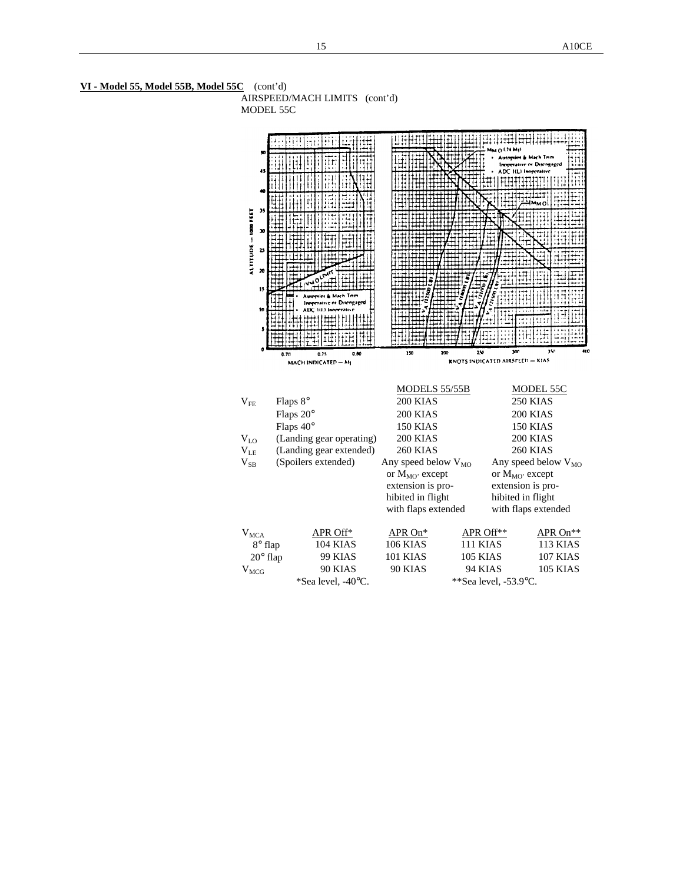

**VI - Model 55, Model 55B, Model 55C** (cont'd) AIRSPEED/MACH LIMITS (cont'd)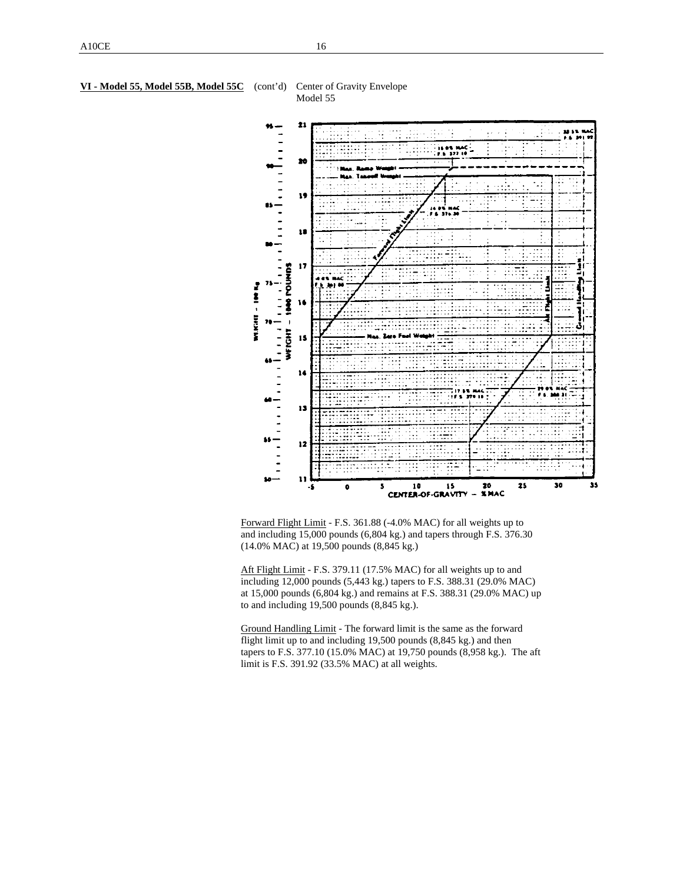#### **VI - Model 55, Model 55B, Model 55C** (cont'd) Center of Gravity Envelope





Forward Flight Limit - F.S. 361.88 (-4.0% MAC) for all weights up to and including 15,000 pounds (6,804 kg.) and tapers through F.S. 376.30 (14.0% MAC) at 19,500 pounds (8,845 kg.)

Aft Flight Limit - F.S. 379.11 (17.5% MAC) for all weights up to and including 12,000 pounds (5,443 kg.) tapers to F.S. 388.31 (29.0% MAC) at 15,000 pounds (6,804 kg.) and remains at F.S. 388.31 (29.0% MAC) up to and including 19,500 pounds (8,845 kg.).

Ground Handling Limit - The forward limit is the same as the forward flight limit up to and including 19,500 pounds (8,845 kg.) and then tapers to F.S. 377.10 (15.0% MAC) at 19,750 pounds (8,958 kg.). The aft limit is F.S. 391.92 (33.5% MAC) at all weights.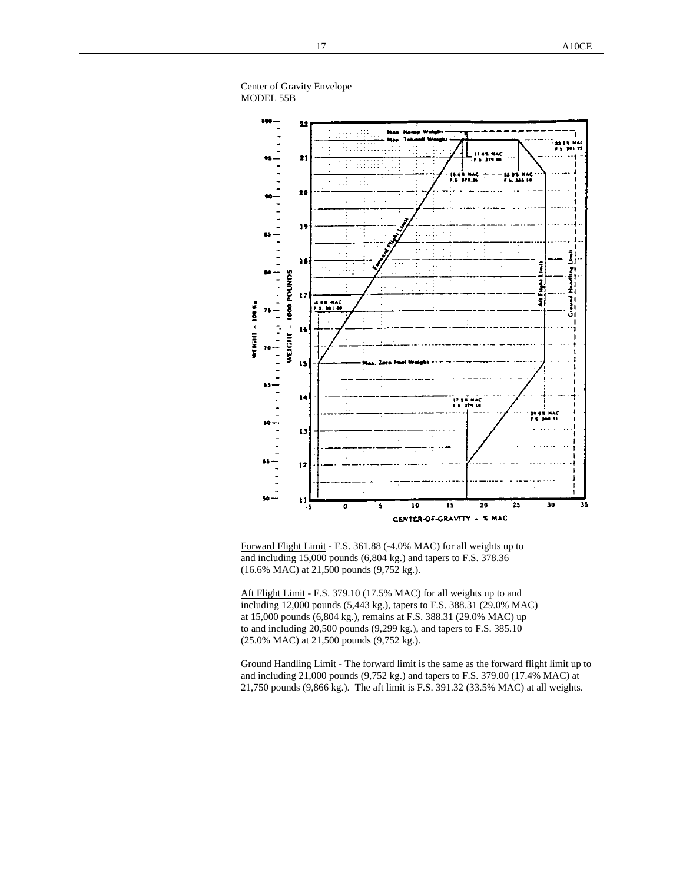



Forward Flight Limit - F.S. 361.88 (-4.0% MAC) for all weights up to and including 15,000 pounds (6,804 kg.) and tapers to F.S. 378.36 (16.6% MAC) at 21,500 pounds (9,752 kg.).

Aft Flight Limit - F.S. 379.10 (17.5% MAC) for all weights up to and including 12,000 pounds (5,443 kg.), tapers to F.S. 388.31 (29.0% MAC) at 15,000 pounds (6,804 kg.), remains at F.S. 388.31 (29.0% MAC) up to and including 20,500 pounds (9,299 kg.), and tapers to F.S. 385.10 (25.0% MAC) at 21,500 pounds (9,752 kg.).

Ground Handling Limit - The forward limit is the same as the forward flight limit up to and including 21,000 pounds (9,752 kg.) and tapers to F.S. 379.00 (17.4% MAC) at 21,750 pounds (9,866 kg.). The aft limit is F.S. 391.32 (33.5% MAC) at all weights.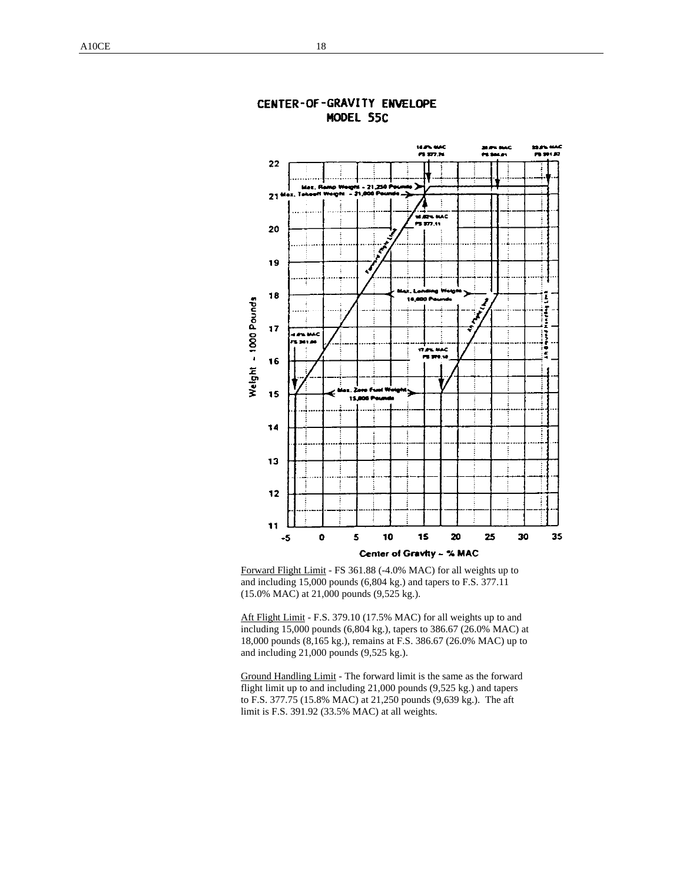

## CENTER-OF-GRAVITY ENVELOPE MODEL 55C

Forward Flight Limit - FS 361.88 (-4.0% MAC) for all weights up to and including 15,000 pounds (6,804 kg.) and tapers to F.S. 377.11 (15.0% MAC) at 21,000 pounds (9,525 kg.).

Aft Flight Limit - F.S. 379.10 (17.5% MAC) for all weights up to and including 15,000 pounds (6,804 kg.), tapers to 386.67 (26.0% MAC) at 18,000 pounds (8,165 kg.), remains at F.S. 386.67 (26.0% MAC) up to and including 21,000 pounds (9,525 kg.).

Ground Handling Limit - The forward limit is the same as the forward flight limit up to and including 21,000 pounds (9,525 kg.) and tapers to F.S. 377.75 (15.8% MAC) at 21,250 pounds (9,639 kg.). The aft limit is F.S. 391.92 (33.5% MAC) at all weights.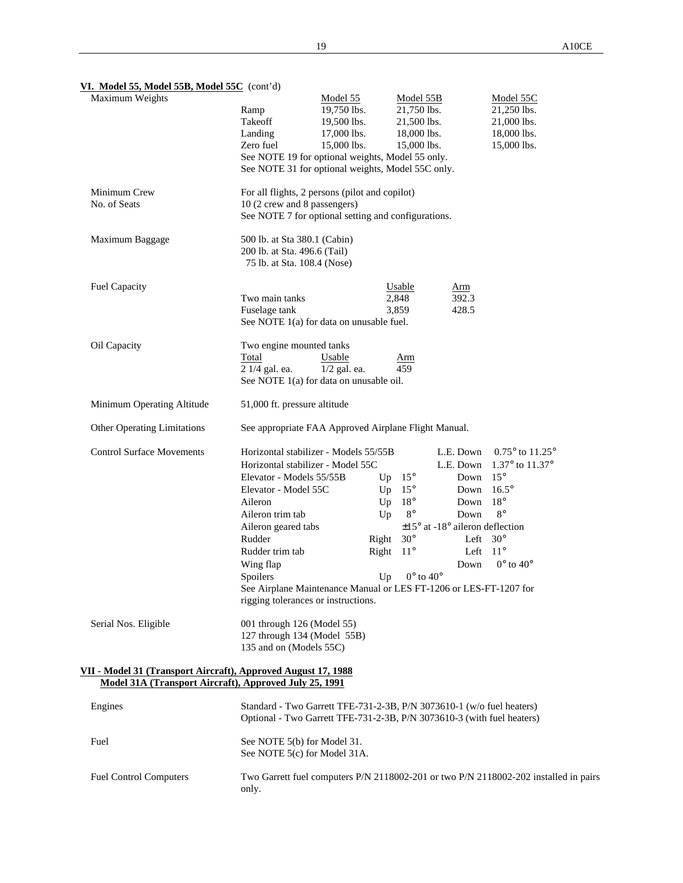| VI. Model 55, Model 55B, Model 55C $(cont'd)$                                                                           |                                                                                                                                                 |                |                             |                                             |                                                                                      |  |
|-------------------------------------------------------------------------------------------------------------------------|-------------------------------------------------------------------------------------------------------------------------------------------------|----------------|-----------------------------|---------------------------------------------|--------------------------------------------------------------------------------------|--|
| Maximum Weights                                                                                                         |                                                                                                                                                 | Model 55       | Model 55B                   |                                             | Model 55C                                                                            |  |
|                                                                                                                         | Ramp                                                                                                                                            | 19,750 lbs.    | 21,750 lbs.                 |                                             | 21,250 lbs.                                                                          |  |
|                                                                                                                         | Takeoff                                                                                                                                         | 19,500 lbs.    | 21,500 lbs.                 |                                             | 21,000 lbs.                                                                          |  |
|                                                                                                                         | Landing                                                                                                                                         | 17,000 lbs.    | 18,000 lbs.                 |                                             | 18,000 lbs.                                                                          |  |
|                                                                                                                         | Zero fuel                                                                                                                                       | 15,000 lbs.    | 15,000 lbs.                 |                                             | 15,000 lbs.                                                                          |  |
|                                                                                                                         | See NOTE 19 for optional weights, Model 55 only.                                                                                                |                |                             |                                             |                                                                                      |  |
|                                                                                                                         | See NOTE 31 for optional weights, Model 55C only.                                                                                               |                |                             |                                             |                                                                                      |  |
| Minimum Crew                                                                                                            | For all flights, 2 persons (pilot and copilot)                                                                                                  |                |                             |                                             |                                                                                      |  |
| No. of Seats                                                                                                            | 10 (2 crew and 8 passengers)                                                                                                                    |                |                             |                                             |                                                                                      |  |
|                                                                                                                         | See NOTE 7 for optional setting and configurations.                                                                                             |                |                             |                                             |                                                                                      |  |
| Maximum Baggage                                                                                                         | 500 lb. at Sta 380.1 (Cabin)                                                                                                                    |                |                             |                                             |                                                                                      |  |
|                                                                                                                         | 200 lb. at Sta. 496.6 (Tail)<br>75 lb. at Sta. 108.4 (Nose)                                                                                     |                |                             |                                             |                                                                                      |  |
| <b>Fuel Capacity</b>                                                                                                    |                                                                                                                                                 |                | Usable                      | A <sub>rm</sub>                             |                                                                                      |  |
|                                                                                                                         | Two main tanks                                                                                                                                  |                | 2,848                       | 392.3                                       |                                                                                      |  |
|                                                                                                                         | Fuselage tank                                                                                                                                   |                | 3,859                       | 428.5                                       |                                                                                      |  |
|                                                                                                                         | See NOTE 1(a) for data on unusable fuel.                                                                                                        |                |                             |                                             |                                                                                      |  |
| Oil Capacity                                                                                                            | Two engine mounted tanks                                                                                                                        |                |                             |                                             |                                                                                      |  |
|                                                                                                                         | Total                                                                                                                                           | Usable         | <u>Arm</u>                  |                                             |                                                                                      |  |
|                                                                                                                         | 2 1/4 gal. ea.                                                                                                                                  | $1/2$ gal. ea. | 459                         |                                             |                                                                                      |  |
|                                                                                                                         | See NOTE 1(a) for data on unusable oil.                                                                                                         |                |                             |                                             |                                                                                      |  |
| Minimum Operating Altitude                                                                                              | 51,000 ft. pressure altitude                                                                                                                    |                |                             |                                             |                                                                                      |  |
| Other Operating Limitations                                                                                             | See appropriate FAA Approved Airplane Flight Manual.                                                                                            |                |                             |                                             |                                                                                      |  |
| <b>Control Surface Movements</b>                                                                                        | Horizontal stabilizer - Models 55/55B                                                                                                           |                |                             | L.E. Down                                   | $0.75^{\circ}$ to $11.25^{\circ}$                                                    |  |
|                                                                                                                         | Horizontal stabilizer - Model 55C                                                                                                               |                |                             | L.E. Down                                   | 1.37° to 11.37°                                                                      |  |
|                                                                                                                         | Elevator - Models 55/55B                                                                                                                        | Up             | $15^{\circ}$                | Down                                        | $15^{\circ}$                                                                         |  |
|                                                                                                                         | Elevator - Model 55C                                                                                                                            | Up             | $15^{\circ}$                | Down                                        | $16.5^\circ$                                                                         |  |
|                                                                                                                         | Aileron                                                                                                                                         | Up             | $18^{\circ}$                | Down                                        | $18^{\circ}$                                                                         |  |
|                                                                                                                         | Aileron trim tab                                                                                                                                | Up             | $8^{\circ}$                 | Down                                        | $8^{\circ}$                                                                          |  |
|                                                                                                                         | Aileron geared tabs                                                                                                                             |                |                             | $\pm 15^{\circ}$ at -18° aileron deflection |                                                                                      |  |
|                                                                                                                         | Rudder                                                                                                                                          | Right          | $30^{\circ}$                | Left                                        | $30^\circ$                                                                           |  |
|                                                                                                                         | Rudder trim tab                                                                                                                                 | Right          | $11^{\circ}$                | Left                                        | $11^{\circ}$                                                                         |  |
|                                                                                                                         | Wing flap                                                                                                                                       |                |                             | Down                                        | $0^\circ$ to $40^\circ$                                                              |  |
|                                                                                                                         | Spoilers                                                                                                                                        | Up             | $0^{\circ}$ to $40^{\circ}$ |                                             |                                                                                      |  |
|                                                                                                                         | See Airplane Maintenance Manual or LES FT-1206 or LES-FT-1207 for                                                                               |                |                             |                                             |                                                                                      |  |
|                                                                                                                         | rigging tolerances or instructions.                                                                                                             |                |                             |                                             |                                                                                      |  |
| Serial Nos. Eligible                                                                                                    | 001 through 126 (Model 55)                                                                                                                      |                |                             |                                             |                                                                                      |  |
|                                                                                                                         | 127 through 134 (Model 55B)                                                                                                                     |                |                             |                                             |                                                                                      |  |
|                                                                                                                         | 135 and on (Models 55C)                                                                                                                         |                |                             |                                             |                                                                                      |  |
|                                                                                                                         |                                                                                                                                                 |                |                             |                                             |                                                                                      |  |
| VII - Model 31 (Transport Aircraft), Approved August 17, 1988<br>Model 31A (Transport Aircraft), Approved July 25, 1991 |                                                                                                                                                 |                |                             |                                             |                                                                                      |  |
|                                                                                                                         |                                                                                                                                                 |                |                             |                                             |                                                                                      |  |
| Engines                                                                                                                 | Standard - Two Garrett TFE-731-2-3B, P/N 3073610-1 (w/o fuel heaters)<br>Optional - Two Garrett TFE-731-2-3B, P/N 3073610-3 (with fuel heaters) |                |                             |                                             |                                                                                      |  |
| Fuel                                                                                                                    | See NOTE 5(b) for Model 31.                                                                                                                     |                |                             |                                             |                                                                                      |  |
|                                                                                                                         | See NOTE 5(c) for Model 31A.                                                                                                                    |                |                             |                                             |                                                                                      |  |
|                                                                                                                         |                                                                                                                                                 |                |                             |                                             |                                                                                      |  |
| <b>Fuel Control Computers</b>                                                                                           |                                                                                                                                                 |                |                             |                                             | Two Garrett fuel computers P/N 2118002-201 or two P/N 2118002-202 installed in pairs |  |

only.

#### **VI. Model 55, Model 55B, Model 55C** (cont'd)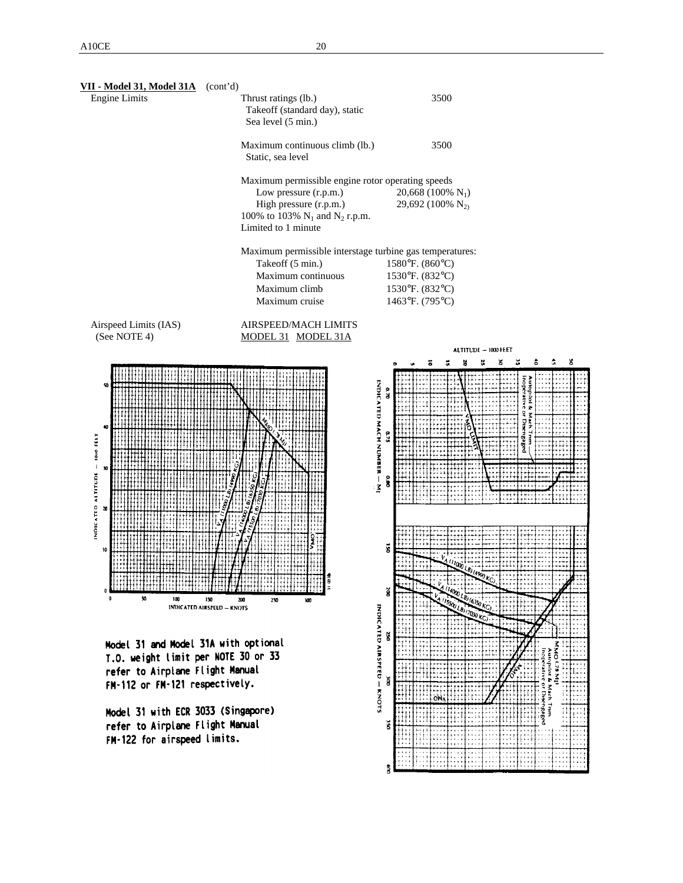| <u>VII - Model 31, Model 31A</u><br><b>Engine Limits</b> | (cont'd)<br>Thrust ratings (lb.)<br>Takeoff (standard day), static<br>Sea level (5 min.)                                                                           | 3500                                                                     |
|----------------------------------------------------------|--------------------------------------------------------------------------------------------------------------------------------------------------------------------|--------------------------------------------------------------------------|
|                                                          | Maximum continuous climb (lb.)<br>Static, sea level                                                                                                                | 3500                                                                     |
|                                                          | Maximum permissible engine rotor operating speeds<br>Low pressure (r.p.m.)<br>High pressure (r.p.m.)<br>100% to 103% $N_1$ and $N_2$ r.p.m.<br>Limited to 1 minute | 20,668 (100% $N_1$ )<br>29,692 (100% N <sub>2)</sub>                     |
|                                                          | Maximum permissible interstage turbine gas temperatures:<br>Takeoff (5 min.)<br>Maximum continuous<br>Maximum climb<br>Maximum cruise                              | 1580°F. (860°C)<br>1530°F. (832°C)<br>1530°F. (832°C)<br>1463°F. (795°C) |
| Airspeed Limits (IAS)<br>(See NOTE 4)                    | <b>AIRSPEED/MACH LIMITS</b><br>MODEL 31 MODEL 31A                                                                                                                  | ALTITUDE - 1000 FEET                                                     |
|                                                          |                                                                                                                                                                    | ã<br>ā                                                                   |
| 50<br>40<br>INDICATED ALTITUDE - 1800 FEET<br>30         |                                                                                                                                                                    | INDICATED MACH NUMBER — MI<br>o. R<br>540<br>នី                          |
| 30<br>10<br>50<br>0<br>100                               | 150<br>250<br>200<br>300<br>INDICATED AIRSPEED - KNOTS                                                                                                             | š<br>$n_{00}$<br>ğ<br><b>INDICATED</b>                                   |
|                                                          | ont iona<br>J1 Th                                                                                                                                                  | ğ                                                                        |

el 31 anoi Moorel 31A With T.O. weight limit per NOTE 30 or 33 refer to Airplane Flight Manual FM-112 or FM-121 respectively.

Model 31 with ECR 3033 (Singapore) refer to Airplane Flight Manual FM-122 for airspeed limits.

Íoin topiot & Mach Trim<br>perative or Disengaged AIRSPEED - KNOTS ă Mach Tnm  $\breve{\mathbf{s}}$ 2

 $\ddot{\bar{z}}$ 

g.  $\mathbf{S}$  $\pmb{\hat{5}}$  $\hat{\mathbf{u}}$  s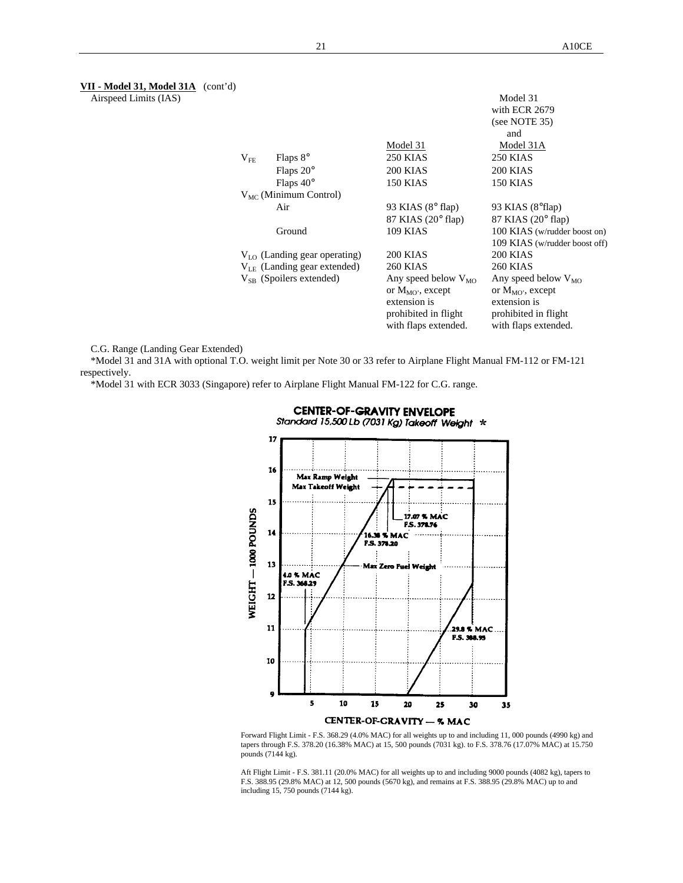**VII - Model 31, Model 31A** (cont'd)

Airspeed Limits (IAS)

|              |                                   |                             | Model 31                      |
|--------------|-----------------------------------|-----------------------------|-------------------------------|
|              |                                   |                             | with ECR 2679                 |
|              |                                   |                             | (see NOTE 35)                 |
|              |                                   |                             | and                           |
|              |                                   | Model 31                    | Model 31A                     |
| $\rm V_{FE}$ | Flaps $8^\circ$                   | <b>250 KIAS</b>             | 250 KIAS                      |
|              | Flaps $20^\circ$                  | <b>200 KIAS</b>             | <b>200 KIAS</b>               |
|              | Flaps $40^\circ$                  | <b>150 KIAS</b>             | 150 KIAS                      |
|              | $V_{MC}$ (Minimum Control)        |                             |                               |
|              | Air                               | 93 KIAS $(8^{\circ}$ flap)  | 93 KIAS $(8^{\circ}$ flap)    |
|              |                                   | 87 KIAS $(20^{\circ}$ flap) | 87 KIAS $(20^{\circ}$ flap)   |
|              | Ground                            | <b>109 KIAS</b>             | 100 KIAS (w/rudder boost on)  |
|              |                                   |                             | 109 KIAS (w/rudder boost off) |
|              | $V_{LO}$ (Landing gear operating) | 200 KIAS                    | 200 KIAS                      |
|              | $V_{IF}$ (Landing gear extended)  | <b>260 KIAS</b>             | <b>260 KIAS</b>               |
|              | $V_{SB}$ (Spoilers extended)      | Any speed below $V_{MO}$    | Any speed below $V_{MO}$      |
|              |                                   | or $M_{MO}$ , except        | or $M_{MO}$ , except          |
|              |                                   | extension is                | extension is                  |
|              |                                   | prohibited in flight        | prohibited in flight          |
|              |                                   | with flaps extended.        | with flaps extended.          |
|              |                                   |                             |                               |

C.G. Range (Landing Gear Extended)

\*Model 31 and 31A with optional T.O. weight limit per Note 30 or 33 refer to Airplane Flight Manual FM-112 or FM-121 respectively.

\*Model 31 with ECR 3033 (Singapore) refer to Airplane Flight Manual FM-122 for C.G. range.



Forward Flight Limit - F.S. 368.29 (4.0% MAC) for all weights up to and including 11, 000 pounds (4990 kg) and tapers through F.S. 378.20 (16.38% MAC) at 15, 500 pounds (7031 kg). to F.S. 378.76 (17.07% MAC) at 15.750 pounds (7144 kg).

Aft Flight Limit - F.S. 381.11 (20.0% MAC) for all weights up to and including 9000 pounds (4082 kg), tapers to F.S. 388.95 (29.8% MAC) at 12, 500 pounds (5670 kg), and remains at F.S. 388.95 (29.8% MAC) up to and including 15, 750 pounds (7144 kg).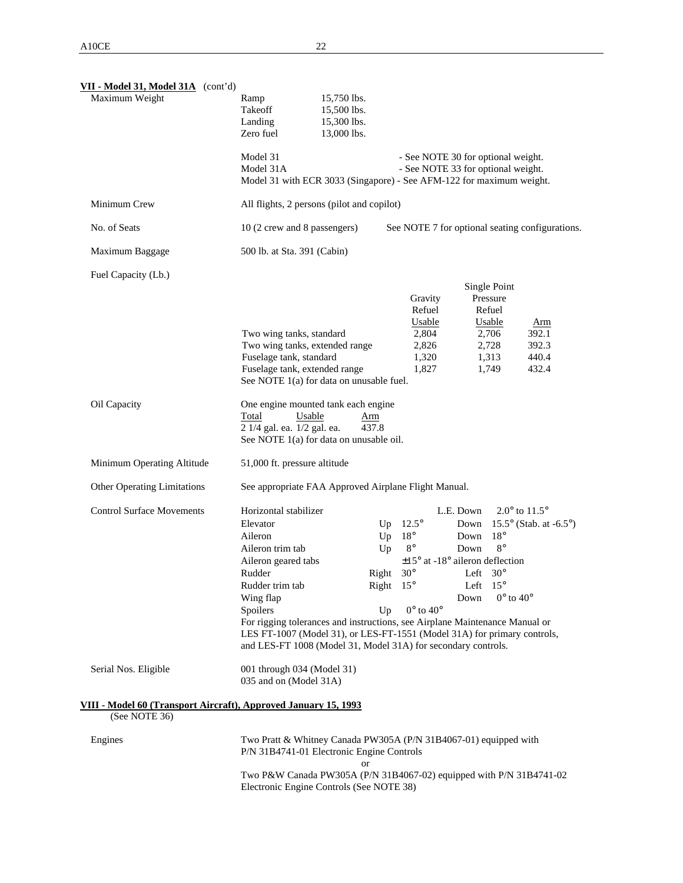| VII - Model 31, Model 31A (cont'd)<br>Maximum Weight                             | Ramp<br>15,750 lbs.<br>Takeoff<br>15,500 lbs.<br>Landing<br>15,300 lbs.<br>Zero fuel<br>13,000 lbs.                                                                                                                                                                  |                |                                                                        |                                                                                  |                                                                                  |                                                                                        |
|----------------------------------------------------------------------------------|----------------------------------------------------------------------------------------------------------------------------------------------------------------------------------------------------------------------------------------------------------------------|----------------|------------------------------------------------------------------------|----------------------------------------------------------------------------------|----------------------------------------------------------------------------------|----------------------------------------------------------------------------------------|
|                                                                                  | Model 31<br>Model 31A<br>Model 31 with ECR 3033 (Singapore) - See AFM-122 for maximum weight.                                                                                                                                                                        |                |                                                                        | - See NOTE 30 for optional weight.<br>- See NOTE 33 for optional weight.         |                                                                                  |                                                                                        |
| Minimum Crew                                                                     | All flights, 2 persons (pilot and copilot)                                                                                                                                                                                                                           |                |                                                                        |                                                                                  |                                                                                  |                                                                                        |
| No. of Seats                                                                     | 10 (2 crew and 8 passengers)                                                                                                                                                                                                                                         |                |                                                                        |                                                                                  |                                                                                  | See NOTE 7 for optional seating configurations.                                        |
| Maximum Baggage                                                                  | 500 lb. at Sta. 391 (Cabin)                                                                                                                                                                                                                                          |                |                                                                        |                                                                                  |                                                                                  |                                                                                        |
| Fuel Capacity (Lb.)                                                              |                                                                                                                                                                                                                                                                      |                |                                                                        |                                                                                  |                                                                                  |                                                                                        |
|                                                                                  | Two wing tanks, standard<br>Two wing tanks, extended range<br>Fuselage tank, standard<br>Fuselage tank, extended range<br>See NOTE 1(a) for data on unusable fuel.                                                                                                   |                | Gravity<br>Refuel<br><b>Usable</b><br>2,804<br>2,826<br>1,320<br>1,827 |                                                                                  | Single Point<br>Pressure<br>Refuel<br>Usable<br>2,706<br>2,728<br>1,313<br>1,749 | <u>Arm</u><br>392.1<br>392.3<br>440.4<br>432.4                                         |
| Oil Capacity                                                                     | One engine mounted tank each engine<br>Total<br>Usable<br>2 1/4 gal. ea. 1/2 gal. ea.<br>See NOTE 1(a) for data on unusable oil.                                                                                                                                     | Arm<br>437.8   |                                                                        |                                                                                  |                                                                                  |                                                                                        |
| Minimum Operating Altitude                                                       | 51,000 ft. pressure altitude                                                                                                                                                                                                                                         |                |                                                                        |                                                                                  |                                                                                  |                                                                                        |
| <b>Other Operating Limitations</b>                                               | See appropriate FAA Approved Airplane Flight Manual.                                                                                                                                                                                                                 |                |                                                                        |                                                                                  |                                                                                  |                                                                                        |
| <b>Control Surface Movements</b>                                                 | Horizontal stabilizer<br>Elevator<br>Aileron<br>Aileron trim tab<br>Aileron geared tabs                                                                                                                                                                              | Up<br>Up<br>Up | $12.5^\circ$<br>$18^{\circ}$<br>$8^{\circ}$                            | L.E. Down<br>Down<br>Down<br>Down<br>$\pm 15^{\circ}$ at -18° aileron deflection | $18^{\circ}$<br>$8^{\circ}$                                                      | 2.0 $^{\circ}$ to 11.5 $^{\circ}$<br>15.5 $\textdegree$ (Stab. at -6.5 $\textdegree$ ) |
|                                                                                  | Rudder                                                                                                                                                                                                                                                               | Right          | $30^\circ$                                                             | Left                                                                             | $30^{\circ}$                                                                     |                                                                                        |
|                                                                                  | Rudder trim tab<br>Wing flap<br>Spoilers<br>For rigging tolerances and instructions, see Airplane Maintenance Manual or<br>LES FT-1007 (Model 31), or LES-FT-1551 (Model 31A) for primary controls,<br>and LES-FT 1008 (Model 31, Model 31A) for secondary controls. | Right<br>Up    | $15^{\circ}$<br>$0^{\circ}$ to $40^{\circ}$                            | Left<br>Down                                                                     | $15^{\circ}$<br>$0^{\circ}$ to $40^{\circ}$                                      |                                                                                        |
| Serial Nos. Eligible                                                             | 001 through 034 (Model 31)<br>035 and on (Model 31A)                                                                                                                                                                                                                 |                |                                                                        |                                                                                  |                                                                                  |                                                                                        |
| VIII - Model 60 (Transport Aircraft), Approved January 15, 1993<br>(See NOTE 36) |                                                                                                                                                                                                                                                                      |                |                                                                        |                                                                                  |                                                                                  |                                                                                        |
| Engines                                                                          | Two Pratt & Whitney Canada PW305A (P/N 31B4067-01) equipped with<br>P/N 31B4741-01 Electronic Engine Controls                                                                                                                                                        |                |                                                                        |                                                                                  |                                                                                  |                                                                                        |
|                                                                                  | Two P&W Canada PW305A (P/N 31B4067-02) equipped with P/N 31B4741-02<br>Electronic Engine Controls (See NOTE 38)                                                                                                                                                      | or             |                                                                        |                                                                                  |                                                                                  |                                                                                        |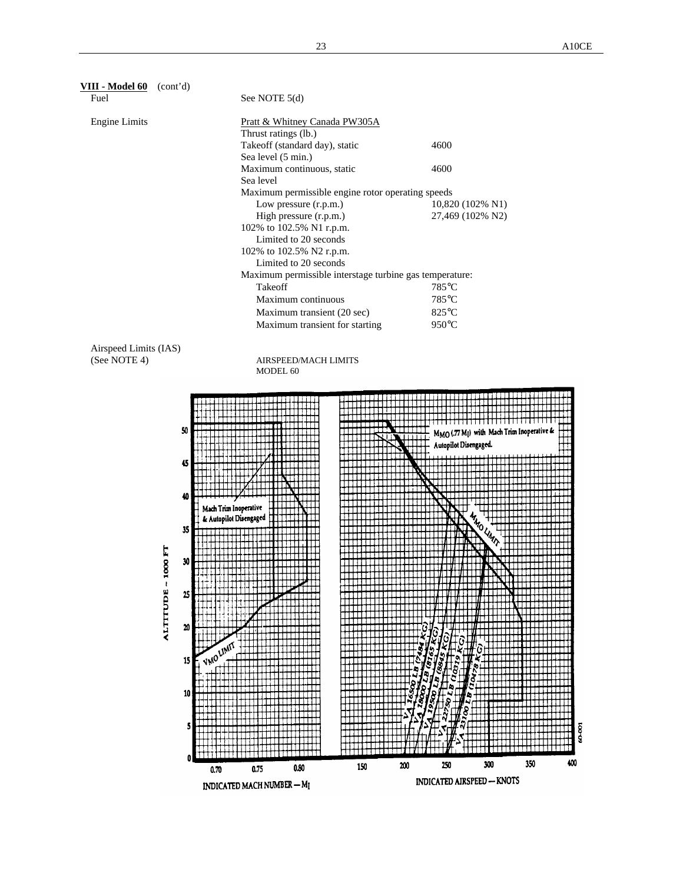| VIII - Model 60<br>(cont'd) |                                                         |                  |
|-----------------------------|---------------------------------------------------------|------------------|
| Fuel                        | See NOTE 5(d)                                           |                  |
| Engine Limits               | Pratt & Whitney Canada PW305A                           |                  |
|                             | Thrust ratings (lb.)                                    |                  |
|                             | Takeoff (standard day), static                          | 4600             |
|                             | Sea level (5 min.)                                      |                  |
|                             | Maximum continuous, static                              | 4600             |
|                             | Sea level                                               |                  |
|                             | Maximum permissible engine rotor operating speeds       |                  |
|                             | Low pressure (r.p.m.)                                   | 10,820 (102% N1) |
|                             | High pressure (r.p.m.)                                  | 27,469 (102% N2) |
|                             | 102% to 102.5% N1 r.p.m.                                |                  |
|                             | Limited to 20 seconds                                   |                  |
|                             | 102% to 102.5% N2 r.p.m.                                |                  |
|                             | Limited to 20 seconds                                   |                  |
|                             | Maximum permissible interstage turbine gas temperature: |                  |
|                             | Takeoff                                                 | 785°C            |
|                             | Maximum continuous                                      | 785°C            |
|                             | Maximum transient (20 sec)                              | $825^{\circ}$ C  |
|                             | Maximum transient for starting                          | $950^{\circ}$ C  |
| Airspeed Limits (IAS)       |                                                         |                  |
| (See NOTE 4)                | <b>AIRSPEED/MACH LIMITS</b>                             |                  |
|                             | MODEL 60                                                |                  |
|                             |                                                         |                  |

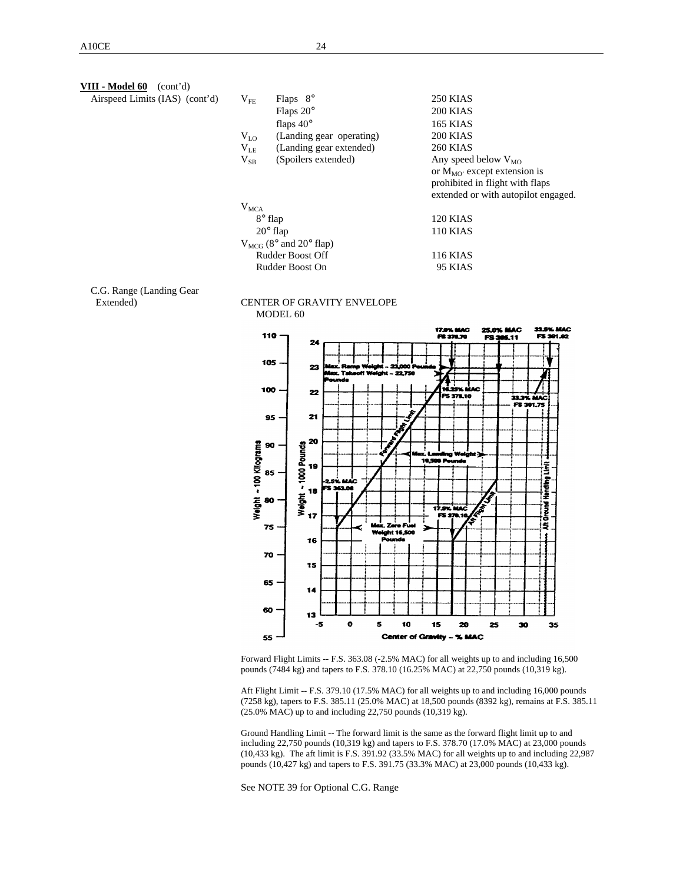**VIII - Model 60** 

| III - Model 60<br>(cont'd)<br>Airspeed Limits (IAS) (cont'd) | $V_{FE}$<br>$V_{L0}$<br>$V_{LE}$<br>$V_{SB}$ | Flaps $8^\circ$<br>Flaps $20^\circ$<br>flaps $40^\circ$<br>(Landing gear operating)<br>(Landing gear extended)<br>(Spoilers extended) | <b>250 KIAS</b><br><b>200 KIAS</b><br><b>165 KIAS</b><br><b>200 KIAS</b><br><b>260 KIAS</b><br>Any speed below $V_{MO}$<br>or $M_{MO}$ except extension is<br>prohibited in flight with flaps<br>extended or with autopilot engaged. |
|--------------------------------------------------------------|----------------------------------------------|---------------------------------------------------------------------------------------------------------------------------------------|--------------------------------------------------------------------------------------------------------------------------------------------------------------------------------------------------------------------------------------|
|                                                              | $V_{MCA}$                                    | $8^\circ$ flap<br>$20^\circ$ flap<br>$V_{MCG}$ (8° and 20° flap)<br><b>Rudder Boost Off</b>                                           | 120 KIAS<br><b>110 KIAS</b><br><b>116 KIAS</b>                                                                                                                                                                                       |
|                                                              |                                              |                                                                                                                                       |                                                                                                                                                                                                                                      |

Rudder Boost On 95 KIAS

# C.G. Range (Landing Gear





Forward Flight Limits -- F.S. 363.08 (-2.5% MAC) for all weights up to and including 16,500 pounds (7484 kg) and tapers to F.S. 378.10 (16.25% MAC) at 22,750 pounds (10,319 kg).

Aft Flight Limit -- F.S. 379.10 (17.5% MAC) for all weights up to and including 16,000 pounds (7258 kg), tapers to F.S. 385.11 (25.0% MAC) at 18,500 pounds (8392 kg), remains at F.S. 385.11 (25.0% MAC) up to and including 22,750 pounds (10,319 kg).

Ground Handling Limit -- The forward limit is the same as the forward flight limit up to and including 22,750 pounds (10,319 kg) and tapers to F.S. 378.70 (17.0% MAC) at 23,000 pounds (10,433 kg). The aft limit is F.S. 391.92 (33.5% MAC) for all weights up to and including 22,987 pounds (10,427 kg) and tapers to F.S. 391.75 (33.3% MAC) at 23,000 pounds (10,433 kg).

See NOTE 39 for Optional C.G. Range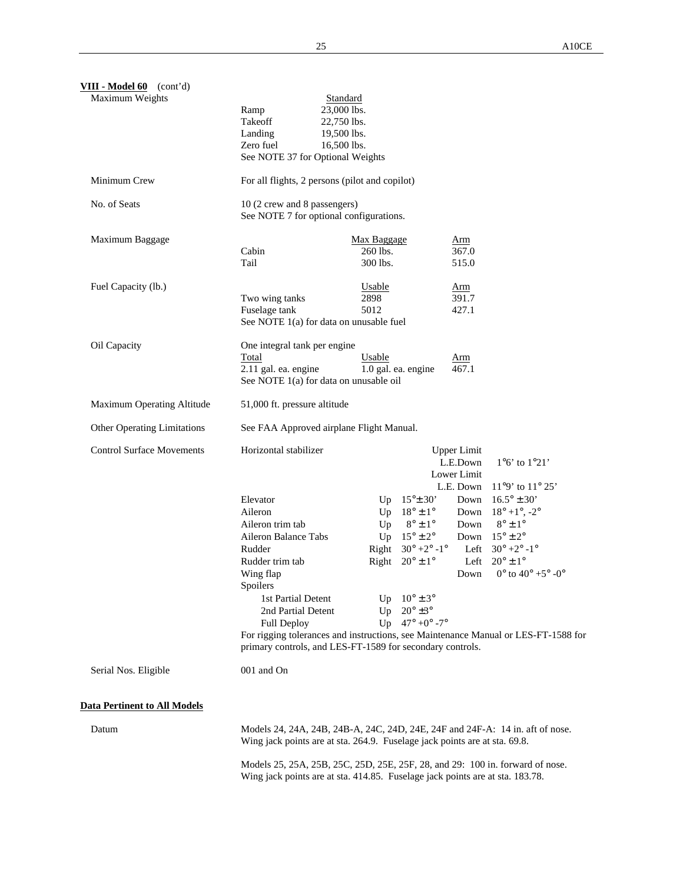| VIII - Model 60 (cont'd)            |                                                                                                                                                                |             |                               |                    |                                                      |
|-------------------------------------|----------------------------------------------------------------------------------------------------------------------------------------------------------------|-------------|-------------------------------|--------------------|------------------------------------------------------|
| Maximum Weights                     |                                                                                                                                                                | Standard    |                               |                    |                                                      |
|                                     | Ramp                                                                                                                                                           | 23,000 lbs. |                               |                    |                                                      |
|                                     | Takeoff                                                                                                                                                        | 22,750 lbs. |                               |                    |                                                      |
|                                     | Landing                                                                                                                                                        | 19,500 lbs. |                               |                    |                                                      |
|                                     | Zero fuel<br>See NOTE 37 for Optional Weights                                                                                                                  | 16,500 lbs. |                               |                    |                                                      |
| Minimum Crew                        | For all flights, 2 persons (pilot and copilot)                                                                                                                 |             |                               |                    |                                                      |
| No. of Seats                        | 10 (2 crew and 8 passengers)<br>See NOTE 7 for optional configurations.                                                                                        |             |                               |                    |                                                      |
| Maximum Baggage                     |                                                                                                                                                                | Max Baggage |                               | Arm                |                                                      |
|                                     | Cabin                                                                                                                                                          | 260 lbs.    |                               | 367.0              |                                                      |
|                                     | Tail                                                                                                                                                           | 300 lbs.    |                               | 515.0              |                                                      |
| Fuel Capacity (lb.)                 |                                                                                                                                                                | Usable      |                               | <u>Arm</u>         |                                                      |
|                                     | Two wing tanks                                                                                                                                                 | 2898        |                               | 391.7<br>427.1     |                                                      |
|                                     | Fuselage tank<br>See NOTE 1(a) for data on unusable fuel                                                                                                       | 5012        |                               |                    |                                                      |
| Oil Capacity                        | One integral tank per engine                                                                                                                                   |             |                               |                    |                                                      |
|                                     | Total                                                                                                                                                          | Usable      |                               | <u>Arm</u>         |                                                      |
|                                     | 2.11 gal. ea. engine                                                                                                                                           |             | 1.0 gal. ea. engine           | 467.1              |                                                      |
|                                     | See NOTE 1(a) for data on unusable oil                                                                                                                         |             |                               |                    |                                                      |
| Maximum Operating Altitude          | 51,000 ft. pressure altitude                                                                                                                                   |             |                               |                    |                                                      |
| <b>Other Operating Limitations</b>  | See FAA Approved airplane Flight Manual.                                                                                                                       |             |                               |                    |                                                      |
| <b>Control Surface Movements</b>    | Horizontal stabilizer                                                                                                                                          |             |                               | <b>Upper Limit</b> |                                                      |
|                                     |                                                                                                                                                                |             |                               | L.E.Down           | $1^{\circ}6'$ to $1^{\circ}21'$                      |
|                                     |                                                                                                                                                                |             |                               | Lower Limit        |                                                      |
|                                     | Elevator                                                                                                                                                       |             | $15^{\circ}$ $\pm$ 30'        | L.E. Down<br>Down  | $11°9'$ to $11°25'$<br>$16.5^{\circ} \pm 30^{\circ}$ |
|                                     | Aileron                                                                                                                                                        | Up<br>Up    | $18^{\circ} \pm 1^{\circ}$    | Down               | $18^{\circ} + 1^{\circ}$ , -2°                       |
|                                     | Aileron trim tab                                                                                                                                               | Up          | $8^{\circ}\pm1^{\circ}$       | Down               | $8^\circ \pm 1^\circ$                                |
|                                     | Aileron Balance Tabs                                                                                                                                           | Up          | $15^{\circ} \pm 2^{\circ}$    | Down               | $15^{\circ} \pm 2^{\circ}$                           |
|                                     | Rudder                                                                                                                                                         |             | Right $30^{\circ}$ +2° -1°    | Left               | $30^{\circ}$ +2 $^{\circ}$ -1 $^{\circ}$             |
|                                     | Rudder trim tab                                                                                                                                                | Right       | $20^{\circ} \pm 1^{\circ}$    | Left               | $20^{\circ} \pm 1^{\circ}$                           |
|                                     | Wing flap                                                                                                                                                      |             |                               | Down               | $0^{\circ}$ to $40^{\circ}$ +5° -0°                  |
|                                     | Spoilers                                                                                                                                                       |             |                               |                    |                                                      |
|                                     | 1st Partial Detent                                                                                                                                             |             | Up $10^{\circ} \pm 3^{\circ}$ |                    |                                                      |
|                                     | 2nd Partial Detent                                                                                                                                             |             | Up $20^\circ \pm 3^\circ$     |                    |                                                      |
|                                     | <b>Full Deploy</b>                                                                                                                                             |             | Up $47^{\circ}$ +0° -7°       |                    |                                                      |
|                                     | For rigging tolerances and instructions, see Maintenance Manual or LES-FT-1588 for<br>primary controls, and LES-FT-1589 for secondary controls.                |             |                               |                    |                                                      |
| Serial Nos. Eligible                | 001 and On                                                                                                                                                     |             |                               |                    |                                                      |
| <b>Data Pertinent to All Models</b> |                                                                                                                                                                |             |                               |                    |                                                      |
| Datum                               | Models 24, 24A, 24B, 24B-A, 24C, 24D, 24E, 24F and 24F-A: 14 in. aft of nose.                                                                                  |             |                               |                    |                                                      |
|                                     | Wing jack points are at sta. 264.9. Fuselage jack points are at sta. 69.8.                                                                                     |             |                               |                    |                                                      |
|                                     | Models 25, 25A, 25B, 25C, 25D, 25E, 25F, 28, and 29: 100 in. forward of nose.<br>Wing jack points are at sta. 414.85. Fuselage jack points are at sta. 183.78. |             |                               |                    |                                                      |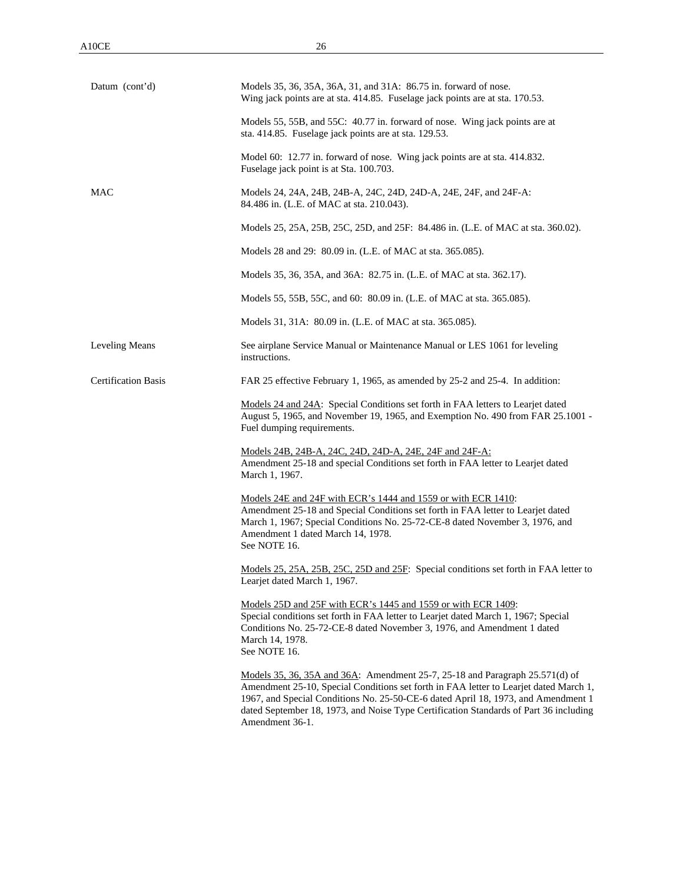Model 60: 12.77 in. forward of nose. Wing jack points are at sta. 414.832. Fuselage jack point is at Sta. 100.703.

MAC Models 24, 24A, 24B, 24B-A, 24C, 24D, 24D-A, 24E, 24F, and 24F-A: 84.486 in. (L.E. of MAC at sta. 210.043).

Models 25, 25A, 25B, 25C, 25D, and 25F: 84.486 in. (L.E. of MAC at sta. 360.02).

Models 28 and 29: 80.09 in. (L.E. of MAC at sta. 365.085).

Models 35, 36, 35A, and 36A: 82.75 in. (L.E. of MAC at sta. 362.17).

Models 55, 55B, 55C, and 60: 80.09 in. (L.E. of MAC at sta. 365.085).

Models 31, 31A: 80.09 in. (L.E. of MAC at sta. 365.085).

Leveling Means See airplane Service Manual or Maintenance Manual or LES 1061 for leveling instructions.

Certification Basis FAR 25 effective February 1, 1965, as amended by 25-2 and 25-4. In addition:

Models 24 and 24A: Special Conditions set forth in FAA letters to Learjet dated August 5, 1965, and November 19, 1965, and Exemption No. 490 from FAR 25.1001 - Fuel dumping requirements.

Models 24B, 24B-A, 24C, 24D, 24D-A, 24E, 24F and 24F-A: Amendment 25-18 and special Conditions set forth in FAA letter to Learjet dated March 1, 1967.

Models 24E and 24F with ECR's 1444 and 1559 or with ECR 1410: Amendment 25-18 and Special Conditions set forth in FAA letter to Learjet dated March 1, 1967; Special Conditions No. 25-72-CE-8 dated November 3, 1976, and Amendment 1 dated March 14, 1978. See NOTE 16.

Models 25, 25A, 25B, 25C, 25D and 25F: Special conditions set forth in FAA letter to Learjet dated March 1, 1967.

Models 25D and 25F with ECR's 1445 and 1559 or with ECR 1409: Special conditions set forth in FAA letter to Learjet dated March 1, 1967; Special Conditions No. 25-72-CE-8 dated November 3, 1976, and Amendment 1 dated March 14, 1978. See NOTE 16.

Models 35, 36, 35A and 36A: Amendment 25-7, 25-18 and Paragraph 25.571(d) of Amendment 25-10, Special Conditions set forth in FAA letter to Learjet dated March 1, 1967, and Special Conditions No. 25-50-CE-6 dated April 18, 1973, and Amendment 1 dated September 18, 1973, and Noise Type Certification Standards of Part 36 including Amendment 36-1.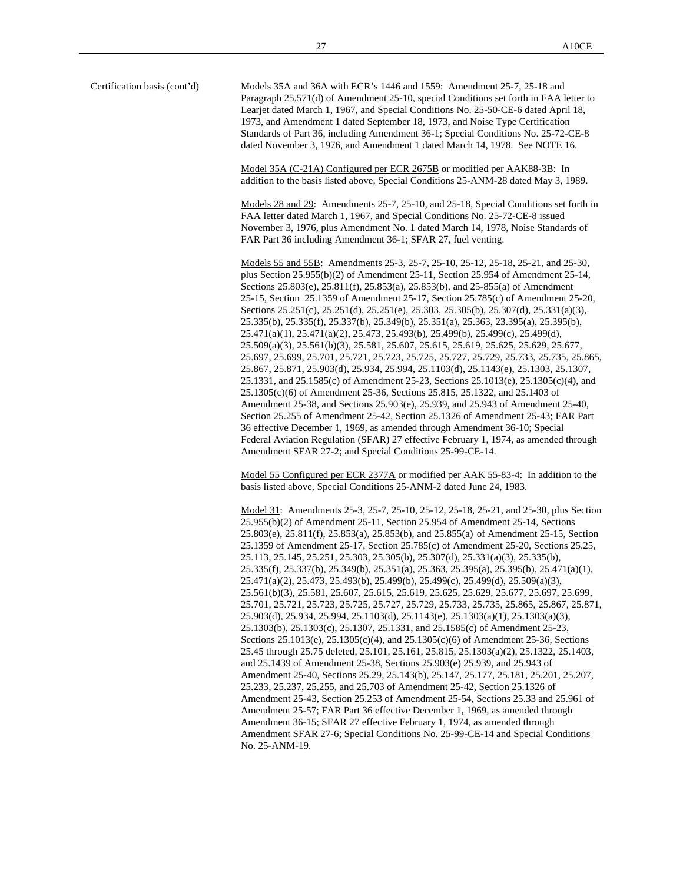Certification basis (cont'd) Models 35A and 36A with ECR's 1446 and 1559: Amendment 25-7, 25-18 and Paragraph 25.571(d) of Amendment 25-10, special Conditions set forth in FAA letter to Learjet dated March 1, 1967, and Special Conditions No. 25-50-CE-6 dated April 18, 1973, and Amendment 1 dated September 18, 1973, and Noise Type Certification Standards of Part 36, including Amendment 36-1; Special Conditions No. 25-72-CE-8 dated November 3, 1976, and Amendment 1 dated March 14, 1978. See NOTE 16.

> Model 35A (C-21A) Configured per ECR 2675B or modified per AAK88-3B: In addition to the basis listed above, Special Conditions 25-ANM-28 dated May 3, 1989.

Models 28 and 29: Amendments 25-7, 25-10, and 25-18, Special Conditions set forth in FAA letter dated March 1, 1967, and Special Conditions No. 25-72-CE-8 issued November 3, 1976, plus Amendment No. 1 dated March 14, 1978, Noise Standards of FAR Part 36 including Amendment 36-1; SFAR 27, fuel venting.

Models 55 and 55B: Amendments 25-3, 25-7, 25-10, 25-12, 25-18, 25-21, and 25-30, plus Section 25.955(b)(2) of Amendment 25-11, Section 25.954 of Amendment 25-14, Sections 25.803(e), 25.811(f), 25.853(a), 25.853(b), and 25-855(a) of Amendment 25-15, Section 25.1359 of Amendment 25-17, Section 25.785(c) of Amendment 25-20, Sections 25.251(c), 25.251(d), 25.251(e), 25.303, 25.305(b), 25.307(d), 25.331(a)(3), 25.335(b), 25.335(f), 25.337(b), 25.349(b), 25.351(a), 25.363, 23.395(a), 25.395(b), 25.471(a)(1), 25.471(a)(2), 25.473, 25.493(b), 25.499(b), 25.499(c), 25.499(d), 25.509(a)(3), 25.561(b)(3), 25.581, 25.607, 25.615, 25.619, 25.625, 25.629, 25.677, 25.697, 25.699, 25.701, 25.721, 25.723, 25.725, 25.727, 25.729, 25.733, 25.735, 25.865, 25.867, 25.871, 25.903(d), 25.934, 25.994, 25.1103(d), 25.1143(e), 25.1303, 25.1307, 25.1331, and 25.1585(c) of Amendment 25-23, Sections 25.1013(e), 25.1305(c)(4), and 25.1305(c)(6) of Amendment 25-36, Sections 25.815, 25.1322, and 25.1403 of Amendment 25-38, and Sections 25.903(e), 25.939, and 25.943 of Amendment 25-40, Section 25.255 of Amendment 25-42, Section 25.1326 of Amendment 25-43; FAR Part 36 effective December 1, 1969, as amended through Amendment 36-10; Special Federal Aviation Regulation (SFAR) 27 effective February 1, 1974, as amended through Amendment SFAR 27-2; and Special Conditions 25-99-CE-14.

Model 55 Configured per ECR 2377A or modified per AAK 55-83-4: In addition to the basis listed above, Special Conditions 25-ANM-2 dated June 24, 1983.

Model 31: Amendments 25-3, 25-7, 25-10, 25-12, 25-18, 25-21, and 25-30, plus Section 25.955(b)(2) of Amendment 25-11, Section 25.954 of Amendment 25-14, Sections 25.803(e), 25.811(f), 25.853(a), 25.853(b), and 25.855(a) of Amendment 25-15, Section 25.1359 of Amendment 25-17, Section 25.785(c) of Amendment 25-20, Sections 25.25, 25.113, 25.145, 25.251, 25.303, 25.305(b), 25.307(d), 25.331(a)(3), 25.335(b), 25.335(f), 25.337(b), 25.349(b), 25.351(a), 25.363, 25.395(a), 25.395(b), 25.471(a)(1), 25.471(a)(2), 25.473, 25.493(b), 25.499(b), 25.499(c), 25.499(d), 25.509(a)(3), 25.561(b)(3), 25.581, 25.607, 25.615, 25.619, 25.625, 25.629, 25.677, 25.697, 25.699, 25.701, 25.721, 25.723, 25.725, 25.727, 25.729, 25.733, 25.735, 25.865, 25.867, 25.871, 25.903(d), 25.934, 25.994, 25.1103(d), 25.1143(e), 25.1303(a)(1), 25.1303(a)(3), 25.1303(b), 25.1303(c), 25.1307, 25.1331, and 25.1585(c) of Amendment 25-23, Sections 25.1013(e), 25.1305(c)(4), and 25.1305(c)(6) of Amendment 25-36, Sections 25.45 through 25.75 deleted, 25.101, 25.161, 25.815, 25.1303(a)(2), 25.1322, 25.1403, and 25.1439 of Amendment 25-38, Sections 25.903(e) 25.939, and 25.943 of Amendment 25-40, Sections 25.29, 25.143(b), 25.147, 25.177, 25.181, 25.201, 25.207, 25.233, 25.237, 25.255, and 25.703 of Amendment 25-42, Section 25.1326 of Amendment 25-43, Section 25.253 of Amendment 25-54, Sections 25.33 and 25.961 of Amendment 25-57; FAR Part 36 effective December 1, 1969, as amended through Amendment 36-15; SFAR 27 effective February 1, 1974, as amended through Amendment SFAR 27-6; Special Conditions No. 25-99-CE-14 and Special Conditions No. 25-ANM-19.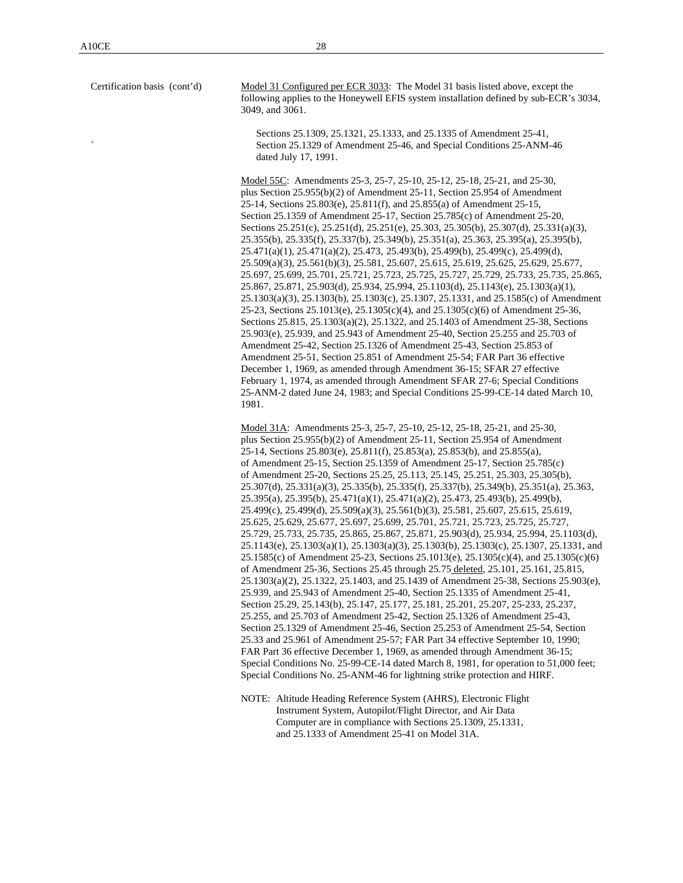Certification basis (cont'd) Model 31 Configured per ECR 3033: The Model 31 basis listed above, except the following applies to the Honeywell EFIS system installation defined by sub-ECR's 3034, 3049, and 3061.

> Sections 25.1309, 25.1321, 25.1333, and 25.1335 of Amendment 25-41, ` Section 25.1329 of Amendment 25-46, and Special Conditions 25-ANM-46 dated July 17, 1991.

Model 55C: Amendments 25-3, 25-7, 25-10, 25-12, 25-18, 25-21, and 25-30, plus Section 25.955(b)(2) of Amendment 25-11, Section 25.954 of Amendment 25-14, Sections 25.803(e), 25.811(f), and 25.855(a) of Amendment 25-15, Section 25.1359 of Amendment 25-17, Section 25.785(c) of Amendment 25-20, Sections 25.251(c), 25.251(d), 25.251(e), 25.303, 25.305(b), 25.307(d), 25.331(a)(3), 25.355(b), 25.335(f), 25.337(b), 25.349(b), 25.351(a), 25.363, 25.395(a), 25.395(b), 25.471(a)(1), 25.471(a)(2), 25.473, 25.493(b), 25.499(b), 25.499(c), 25.499(d), 25.509(a)(3), 25.561(b)(3), 25.581, 25.607, 25.615, 25.619, 25.625, 25.629, 25.677, 25.697, 25.699, 25.701, 25.721, 25.723, 25.725, 25.727, 25.729, 25.733, 25.735, 25.865, 25.867, 25.871, 25.903(d), 25.934, 25.994, 25.1103(d), 25.1143(e), 25.1303(a)(1), 25.1303(a)(3), 25.1303(b), 25.1303(c), 25.1307, 25.1331, and 25.1585(c) of Amendment 25-23, Sections 25.1013(e), 25.1305(c)(4), and 25.1305(c)(6) of Amendment 25-36, Sections 25.815, 25.1303(a)(2), 25.1322, and 25.1403 of Amendment 25-38, Sections 25.903(e), 25.939, and 25.943 of Amendment 25-40, Section 25.255 and 25.703 of Amendment 25-42, Section 25.1326 of Amendment 25-43, Section 25.853 of Amendment 25-51, Section 25.851 of Amendment 25-54; FAR Part 36 effective December 1, 1969, as amended through Amendment 36-15; SFAR 27 effective February 1, 1974, as amended through Amendment SFAR 27-6; Special Conditions 25-ANM-2 dated June 24, 1983; and Special Conditions 25-99-CE-14 dated March 10, 1981.

Model 31A: Amendments 25-3, 25-7, 25-10, 25-12, 25-18, 25-21, and 25-30, plus Section 25.955(b)(2) of Amendment 25-11, Section 25.954 of Amendment 25-14, Sections 25.803(e), 25.811(f), 25.853(a), 25.853(b), and 25.855(a), of Amendment 25-15, Section 25.1359 of Amendment 25-17, Section 25.785(c) of Amendment 25-20, Sections 25.25, 25.113, 25.145, 25.251, 25.303, 25.305(b), 25.307(d), 25.331(a)(3), 25.335(b), 25.335(f), 25.337(b), 25.349(b), 25.351(a), 25.363, 25.395(a), 25.395(b), 25.471(a)(1), 25.471(a)(2), 25.473, 25.493(b), 25.499(b), 25.499(c), 25.499(d), 25.509(a)(3), 25.561(b)(3), 25.581, 25.607, 25.615, 25.619, 25.625, 25.629, 25.677, 25.697, 25.699, 25.701, 25.721, 25.723, 25.725, 25.727, 25.729, 25.733, 25.735, 25.865, 25.867, 25.871, 25.903(d), 25.934, 25.994, 25.1103(d), 25.1143(e), 25.1303(a)(1), 25.1303(a)(3), 25.1303(b), 25.1303(c), 25.1307, 25.1331, and 25.1585(c) of Amendment 25-23, Sections 25.1013(e), 25.1305(c)(4), and 25.1305(c)(6) of Amendment 25-36, Sections 25.45 through 25.75 deleted, 25.101, 25.161, 25.815, 25.1303(a)(2), 25.1322, 25.1403, and 25.1439 of Amendment 25-38, Sections 25.903(e), 25.939, and 25.943 of Amendment 25-40, Section 25.1335 of Amendment 25-41, Section 25.29, 25.143(b), 25.147, 25.177, 25.181, 25.201, 25.207, 25-233, 25.237, 25.255, and 25.703 of Amendment 25-42, Section 25.1326 of Amendment 25-43, Section 25.1329 of Amendment 25-46, Section 25.253 of Amendment 25-54, Section 25.33 and 25.961 of Amendment 25-57; FAR Part 34 effective September 10, 1990; FAR Part 36 effective December 1, 1969, as amended through Amendment 36-15; Special Conditions No. 25-99-CE-14 dated March 8, 1981, for operation to 51,000 feet; Special Conditions No. 25-ANM-46 for lightning strike protection and HIRF.

NOTE: Altitude Heading Reference System (AHRS), Electronic Flight Instrument System, Autopilot/Flight Director, and Air Data Computer are in compliance with Sections 25.1309, 25.1331, and 25.1333 of Amendment 25-41 on Model 31A.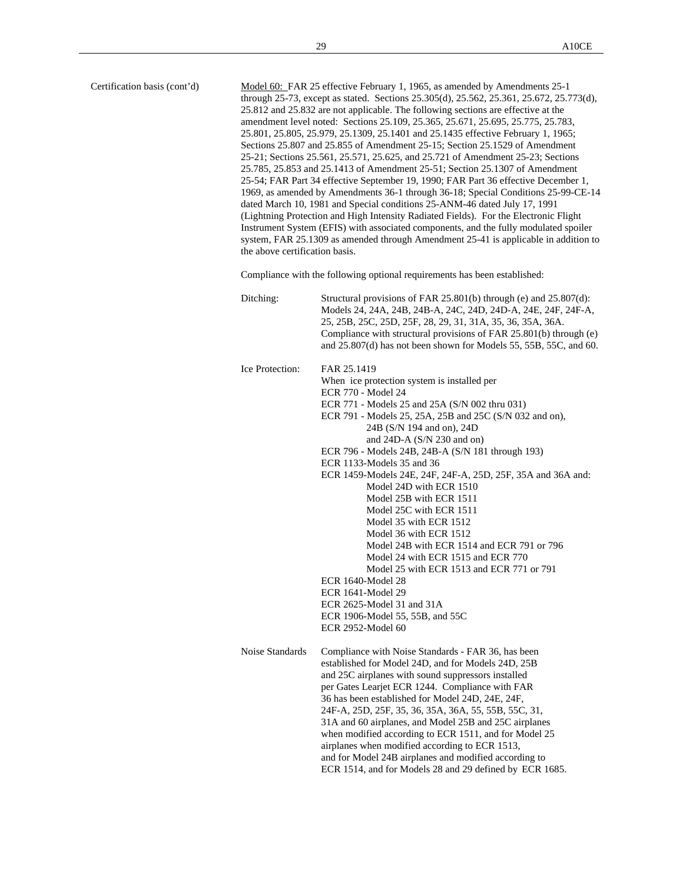| Certification basis (cont'd) |                 | Model 60: FAR 25 effective February 1, 1965, as amended by Amendments 25-1<br>through 25-73, except as stated. Sections $25.305(d)$ , $25.562$ , $25.361$ , $25.672$ , $25.773(d)$ ,<br>25.812 and 25.832 are not applicable. The following sections are effective at the<br>amendment level noted: Sections 25.109, 25.365, 25.671, 25.695, 25.775, 25.783,<br>25.801, 25.805, 25.979, 25.1309, 25.1401 and 25.1435 effective February 1, 1965;<br>Sections 25.807 and 25.855 of Amendment 25-15; Section 25.1529 of Amendment<br>25-21; Sections 25.561, 25.571, 25.625, and 25.721 of Amendment 25-23; Sections<br>25.785, 25.853 and 25.1413 of Amendment 25-51; Section 25.1307 of Amendment<br>25-54; FAR Part 34 effective September 19, 1990; FAR Part 36 effective December 1,<br>1969, as amended by Amendments 36-1 through 36-18; Special Conditions 25-99-CE-14<br>dated March 10, 1981 and Special conditions 25-ANM-46 dated July 17, 1991<br>(Lightning Protection and High Intensity Radiated Fields). For the Electronic Flight<br>Instrument System (EFIS) with associated components, and the fully modulated spoiler<br>system, FAR 25.1309 as amended through Amendment 25-41 is applicable in addition to<br>the above certification basis. |  |  |  |  |
|------------------------------|-----------------|--------------------------------------------------------------------------------------------------------------------------------------------------------------------------------------------------------------------------------------------------------------------------------------------------------------------------------------------------------------------------------------------------------------------------------------------------------------------------------------------------------------------------------------------------------------------------------------------------------------------------------------------------------------------------------------------------------------------------------------------------------------------------------------------------------------------------------------------------------------------------------------------------------------------------------------------------------------------------------------------------------------------------------------------------------------------------------------------------------------------------------------------------------------------------------------------------------------------------------------------------------------------|--|--|--|--|
|                              | Ditching:       | Compliance with the following optional requirements has been established:<br>Structural provisions of FAR 25.801(b) through (e) and $25.807(d)$ :<br>Models 24, 24A, 24B, 24B-A, 24C, 24D, 24D-A, 24E, 24F, 24F-A,                                                                                                                                                                                                                                                                                                                                                                                                                                                                                                                                                                                                                                                                                                                                                                                                                                                                                                                                                                                                                                                 |  |  |  |  |
|                              |                 | 25, 25B, 25C, 25D, 25F, 28, 29, 31, 31A, 35, 36, 35A, 36A.<br>Compliance with structural provisions of FAR 25.801(b) through (e)<br>and 25.807(d) has not been shown for Models 55, 55B, 55C, and 60.                                                                                                                                                                                                                                                                                                                                                                                                                                                                                                                                                                                                                                                                                                                                                                                                                                                                                                                                                                                                                                                              |  |  |  |  |
|                              | Ice Protection: | FAR 25.1419<br>When ice protection system is installed per<br>ECR 770 - Model 24<br>ECR 771 - Models 25 and 25A (S/N 002 thru 031)<br>ECR 791 - Models 25, 25A, 25B and 25C (S/N 032 and on),<br>24B (S/N 194 and on), 24D<br>and $24D-A$ (S/N $230$ and on)<br>ECR 796 - Models 24B, 24B-A (S/N 181 through 193)<br>ECR 1133-Models 35 and 36<br>ECR 1459-Models 24E, 24F, 24F-A, 25D, 25F, 35A and 36A and:<br>Model 24D with ECR 1510<br>Model 25B with ECR 1511<br>Model 25C with ECR 1511<br>Model 35 with ECR 1512<br>Model 36 with ECR 1512<br>Model 24B with ECR 1514 and ECR 791 or 796<br>Model 24 with ECR 1515 and ECR 770<br>Model 25 with ECR 1513 and ECR 771 or 791<br>ECR 1640-Model 28<br><b>ECR 1641-Model 29</b><br>ECR 2625-Model 31 and 31A<br>ECR 1906-Model 55, 55B, and 55C<br>ECR 2952-Model 60                                                                                                                                                                                                                                                                                                                                                                                                                                          |  |  |  |  |
|                              | Noise Standards | Compliance with Noise Standards - FAR 36, has been<br>established for Model 24D, and for Models 24D, 25B<br>and 25C airplanes with sound suppressors installed<br>per Gates Learjet ECR 1244. Compliance with FAR<br>36 has been established for Model 24D, 24E, 24F,<br>24F-A, 25D, 25F, 35, 36, 35A, 36A, 55, 55B, 55C, 31,<br>31A and 60 airplanes, and Model 25B and 25C airplanes<br>when modified according to ECR 1511, and for Model 25<br>airplanes when modified according to ECR 1513,<br>and for Model 24B airplanes and modified according to<br>ECR 1514, and for Models 28 and 29 defined by ECR 1685.                                                                                                                                                                                                                                                                                                                                                                                                                                                                                                                                                                                                                                              |  |  |  |  |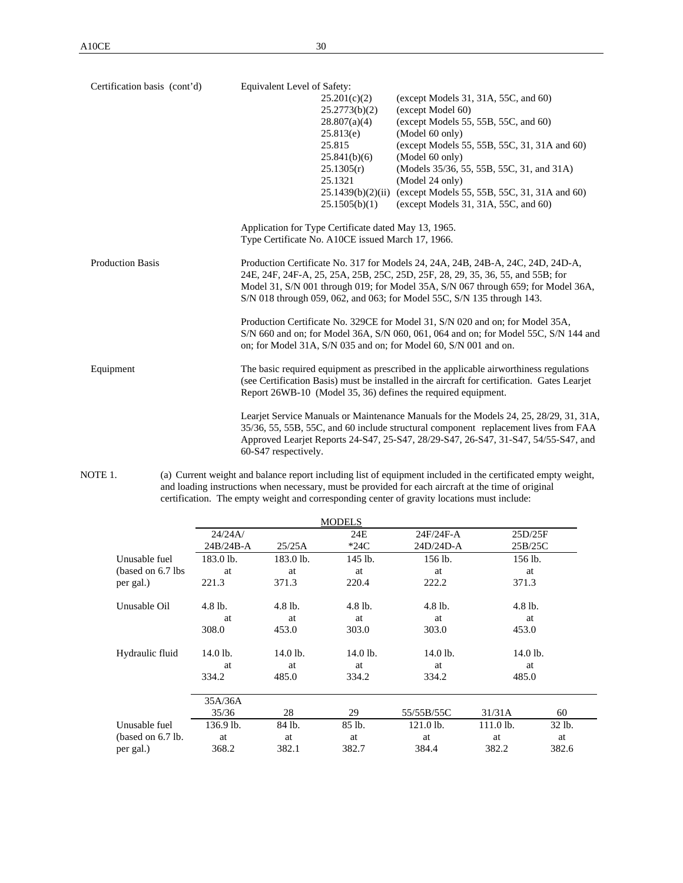| Certification basis (cont'd) | Equivalent Level of Safety:                                                                                                                                                                                                                             |                   |                                                                                                                                                                                                                                                                    |  |  |
|------------------------------|---------------------------------------------------------------------------------------------------------------------------------------------------------------------------------------------------------------------------------------------------------|-------------------|--------------------------------------------------------------------------------------------------------------------------------------------------------------------------------------------------------------------------------------------------------------------|--|--|
|                              |                                                                                                                                                                                                                                                         | 25.201(c)(2)      | (except Models 31, 31A, 55C, and $60$ )                                                                                                                                                                                                                            |  |  |
|                              |                                                                                                                                                                                                                                                         | 25.2773(b)(2)     | (except Model 60)                                                                                                                                                                                                                                                  |  |  |
|                              |                                                                                                                                                                                                                                                         | 28.807(a)(4)      | (except Models 55, 55B, 55C, and 60)                                                                                                                                                                                                                               |  |  |
|                              |                                                                                                                                                                                                                                                         | 25.813(e)         | (Model 60 only)                                                                                                                                                                                                                                                    |  |  |
|                              |                                                                                                                                                                                                                                                         | 25.815            | (except Models 55, 55B, 55C, 31, 31A and 60)                                                                                                                                                                                                                       |  |  |
|                              |                                                                                                                                                                                                                                                         | 25.841(b)(6)      | (Model 60 only)                                                                                                                                                                                                                                                    |  |  |
|                              |                                                                                                                                                                                                                                                         | 25.1305(r)        | (Models 35/36, 55, 55B, 55C, 31, and 31A)                                                                                                                                                                                                                          |  |  |
|                              |                                                                                                                                                                                                                                                         | 25.1321           | (Model 24 only)                                                                                                                                                                                                                                                    |  |  |
|                              |                                                                                                                                                                                                                                                         | 25.1439(b)(2)(ii) | (except Models 55, 55B, 55C, 31, 31A and 60)                                                                                                                                                                                                                       |  |  |
|                              |                                                                                                                                                                                                                                                         | 25.1505(b)(1)     | (except Models 31, 31A, 55C, and $60$ )                                                                                                                                                                                                                            |  |  |
|                              | Application for Type Certificate dated May 13, 1965.                                                                                                                                                                                                    |                   |                                                                                                                                                                                                                                                                    |  |  |
|                              | Type Certificate No. A10CE issued March 17, 1966.                                                                                                                                                                                                       |                   |                                                                                                                                                                                                                                                                    |  |  |
| <b>Production Basis</b>      | Production Certificate No. 317 for Models 24, 24A, 24B, 24B-A, 24C, 24D, 24D-A,<br>24E, 24F, 24F-A, 25, 25A, 25B, 25C, 25D, 25F, 28, 29, 35, 36, 55, and 55B; for                                                                                       |                   |                                                                                                                                                                                                                                                                    |  |  |
|                              | Model 31, S/N 001 through 019; for Model 35A, S/N 067 through 659; for Model 36A,<br>S/N 018 through 059, 062, and 063; for Model 55C, S/N 135 through 143.                                                                                             |                   |                                                                                                                                                                                                                                                                    |  |  |
|                              |                                                                                                                                                                                                                                                         |                   | Production Certificate No. 329CE for Model 31, S/N 020 and on; for Model 35A,<br>S/N 660 and on; for Model 36A, S/N 060, 061, 064 and on; for Model 55C, S/N 144 and<br>on; for Model 31A, S/N 035 and on; for Model 60, S/N 001 and on.                           |  |  |
| Equipment                    | The basic required equipment as prescribed in the applicable airworthiness regulations<br>(see Certification Basis) must be installed in the aircraft for certification. Gates Learjet<br>Report 26WB-10 (Model 35, 36) defines the required equipment. |                   |                                                                                                                                                                                                                                                                    |  |  |
|                              | 60-S47 respectively.                                                                                                                                                                                                                                    |                   | Learjet Service Manuals or Maintenance Manuals for the Models 24, 25, 28/29, 31, 31A,<br>35/36, 55, 55B, 55C, and 60 include structural component replacement lives from FAA<br>Approved Learjet Reports 24-S47, 25-S47, 28/29-S47, 26-S47, 31-S47, 54/55-S47, and |  |  |

NOTE 1. (a) Current weight and balance report including list of equipment included in the certificated empty weight, and loading instructions when necessary, must be provided for each aircraft at the time of original certification. The empty weight and corresponding center of gravity locations must include:

|                    |           |           | <b>MODELS</b> |            |             |        |
|--------------------|-----------|-----------|---------------|------------|-------------|--------|
|                    | 24/24A/   |           | 24E           | 24F/24F-A  | 25D/25F     |        |
|                    | 24B/24B-A | 25/25A    | $*24C$        | 24D/24D-A  | 25B/25C     |        |
| Unusable fuel      | 183.0 lb. | 183.0 lb. | 145 lb.       | 156 lb.    | 156 lb.     |        |
| (based on 6.7 lbs) | at        | at        | at            | at         | at          |        |
| per gal.)          | 221.3     | 371.3     | 220.4         | 222.2      | 371.3       |        |
| Unusable Oil       | $4.8$ lb. | $4.8$ lb. | 4.8 lb.       | $4.8$ lb.  | $4.8$ lb.   |        |
|                    | at        | at        | at            | at         | at          |        |
|                    | 308.0     | 453.0     | 303.0         | 303.0      | 453.0       |        |
| Hydraulic fluid    | 14.0 lb.  | 14.0 lb.  | 14.0 lb.      | $14.0$ lb. | 14.0 lb.    |        |
|                    | at        | at        | at            | at         | at          |        |
|                    | 334.2     | 485.0     | 334.2         | 334.2      | 485.0       |        |
|                    | 35A/36A   |           |               |            |             |        |
|                    | 35/36     | 28        | 29            | 55/55B/55C | 31/31A      | 60     |
| Unusable fuel      | 136.9 lb. | 84 lb.    | 85 lb.        | 121.0 lb.  | $111.0$ lb. | 32 lb. |
| (based on 6.7 lb.  | at        | at        | at            | at         | at          | at     |
| per gal.)          | 368.2     | 382.1     | 382.7         | 384.4      | 382.2       | 382.6  |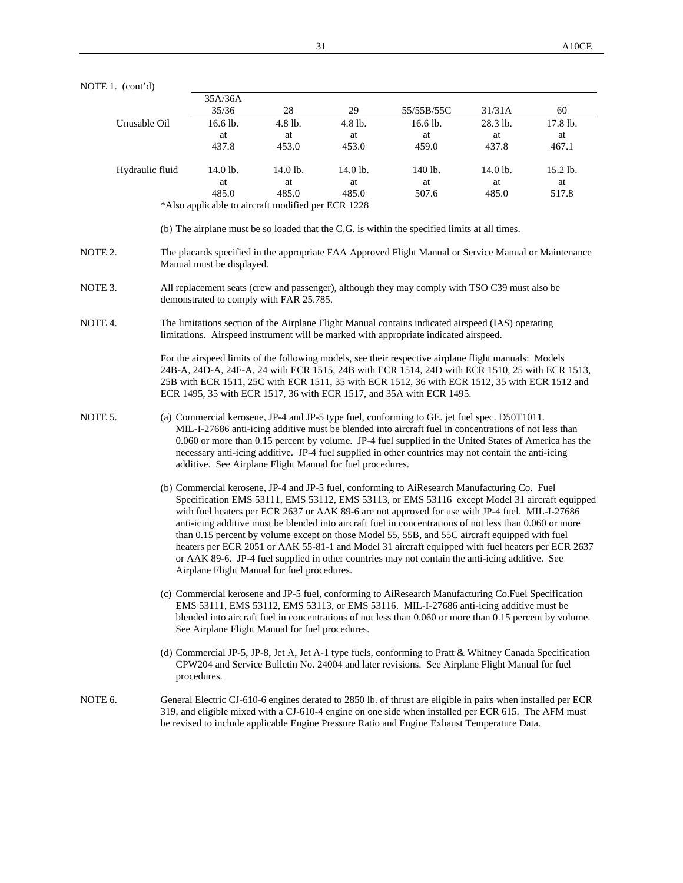|         |                 | 35A/36A                                                   |             |             |                                                                                                                                                                                                                                                                                                                                                                                                                                                                                                                                                                                                                                                                                                                       |             |             |
|---------|-----------------|-----------------------------------------------------------|-------------|-------------|-----------------------------------------------------------------------------------------------------------------------------------------------------------------------------------------------------------------------------------------------------------------------------------------------------------------------------------------------------------------------------------------------------------------------------------------------------------------------------------------------------------------------------------------------------------------------------------------------------------------------------------------------------------------------------------------------------------------------|-------------|-------------|
|         |                 | 35/36                                                     | $28\,$      | 29          | 55/55B/55C                                                                                                                                                                                                                                                                                                                                                                                                                                                                                                                                                                                                                                                                                                            | 31/31A      | 60          |
|         | Unusable Oil    | 16.6 lb.                                                  | 4.8 lb.     | 4.8 lb.     | 16.6 lb.                                                                                                                                                                                                                                                                                                                                                                                                                                                                                                                                                                                                                                                                                                              | 28.3 lb.    | 17.8 lb.    |
|         |                 | at                                                        | at          | at          | at                                                                                                                                                                                                                                                                                                                                                                                                                                                                                                                                                                                                                                                                                                                    | at          | at          |
|         |                 | 437.8                                                     | 453.0       | 453.0       | 459.0                                                                                                                                                                                                                                                                                                                                                                                                                                                                                                                                                                                                                                                                                                                 | 437.8       | 467.1       |
|         | Hydraulic fluid | 14.0 lb.                                                  | 14.0 lb.    | 14.0 lb.    | 140 lb.                                                                                                                                                                                                                                                                                                                                                                                                                                                                                                                                                                                                                                                                                                               | 14.0 lb.    | 15.2 lb.    |
|         |                 | at<br>485.0                                               | at<br>485.0 | at<br>485.0 | at<br>507.6                                                                                                                                                                                                                                                                                                                                                                                                                                                                                                                                                                                                                                                                                                           | at<br>485.0 | at<br>517.8 |
|         |                 | *Also applicable to aircraft modified per ECR 1228        |             |             |                                                                                                                                                                                                                                                                                                                                                                                                                                                                                                                                                                                                                                                                                                                       |             |             |
|         |                 |                                                           |             |             | (b) The airplane must be so loaded that the C.G. is within the specified limits at all times.                                                                                                                                                                                                                                                                                                                                                                                                                                                                                                                                                                                                                         |             |             |
|         |                 |                                                           |             |             |                                                                                                                                                                                                                                                                                                                                                                                                                                                                                                                                                                                                                                                                                                                       |             |             |
| NOTE 2. |                 | Manual must be displayed.                                 |             |             | The placards specified in the appropriate FAA Approved Flight Manual or Service Manual or Maintenance                                                                                                                                                                                                                                                                                                                                                                                                                                                                                                                                                                                                                 |             |             |
| NOTE 3. |                 | demonstrated to comply with FAR 25.785.                   |             |             | All replacement seats (crew and passenger), although they may comply with TSO C39 must also be                                                                                                                                                                                                                                                                                                                                                                                                                                                                                                                                                                                                                        |             |             |
| NOTE 4. |                 |                                                           |             |             | The limitations section of the Airplane Flight Manual contains indicated airspeed (IAS) operating<br>limitations. Airspeed instrument will be marked with appropriate indicated airspeed.                                                                                                                                                                                                                                                                                                                                                                                                                                                                                                                             |             |             |
|         |                 |                                                           |             |             | For the airspeed limits of the following models, see their respective airplane flight manuals: Models<br>24B-A, 24D-A, 24F-A, 24 with ECR 1515, 24B with ECR 1514, 24D with ECR 1510, 25 with ECR 1513,<br>25B with ECR 1511, 25C with ECR 1511, 35 with ECR 1512, 36 with ECR 1512, 35 with ECR 1512 and<br>ECR 1495, 35 with ECR 1517, 36 with ECR 1517, and 35A with ECR 1495.                                                                                                                                                                                                                                                                                                                                     |             |             |
| NOTE 5. |                 | additive. See Airplane Flight Manual for fuel procedures. |             |             | (a) Commercial kerosene, JP-4 and JP-5 type fuel, conforming to GE. jet fuel spec. D50T1011.<br>MIL-I-27686 anti-icing additive must be blended into aircraft fuel in concentrations of not less than<br>0.060 or more than 0.15 percent by volume. JP-4 fuel supplied in the United States of America has the<br>necessary anti-icing additive. JP-4 fuel supplied in other countries may not contain the anti-icing                                                                                                                                                                                                                                                                                                 |             |             |
|         |                 | Airplane Flight Manual for fuel procedures.               |             |             | (b) Commercial kerosene, JP-4 and JP-5 fuel, conforming to AiResearch Manufacturing Co. Fuel<br>Specification EMS 53111, EMS 53112, EMS 53113, or EMS 53116 except Model 31 aircraft equipped<br>with fuel heaters per ECR 2637 or AAK 89-6 are not approved for use with JP-4 fuel. MIL-I-27686<br>anti-icing additive must be blended into aircraft fuel in concentrations of not less than 0.060 or more<br>than 0.15 percent by volume except on those Model 55, 55B, and 55C aircraft equipped with fuel<br>heaters per ECR 2051 or AAK 55-81-1 and Model 31 aircraft equipped with fuel heaters per ECR 2637<br>or AAK 89-6. JP-4 fuel supplied in other countries may not contain the anti-icing additive. See |             |             |
|         |                 | See Airplane Flight Manual for fuel procedures.           |             |             | (c) Commercial kerosene and JP-5 fuel, conforming to AiResearch Manufacturing Co.Fuel Specification<br>EMS 53111, EMS 53112, EMS 53113, or EMS 53116. MIL-I-27686 anti-icing additive must be<br>blended into aircraft fuel in concentrations of not less than 0.060 or more than 0.15 percent by volume.                                                                                                                                                                                                                                                                                                                                                                                                             |             |             |
|         |                 | procedures.                                               |             |             | (d) Commercial JP-5, JP-8, Jet A, Jet A-1 type fuels, conforming to Pratt & Whitney Canada Specification<br>CPW204 and Service Bulletin No. 24004 and later revisions. See Airplane Flight Manual for fuel                                                                                                                                                                                                                                                                                                                                                                                                                                                                                                            |             |             |
| NOTE 6. |                 |                                                           |             |             | General Electric CJ-610-6 engines derated to 2850 lb. of thrust are eligible in pairs when installed per ECR<br>319, and eligible mixed with a CJ-610-4 engine on one side when installed per ECR 615. The AFM must<br>be revised to include applicable Engine Pressure Ratio and Engine Exhaust Temperature Data.                                                                                                                                                                                                                                                                                                                                                                                                    |             |             |

NOTE 1. (cont'd)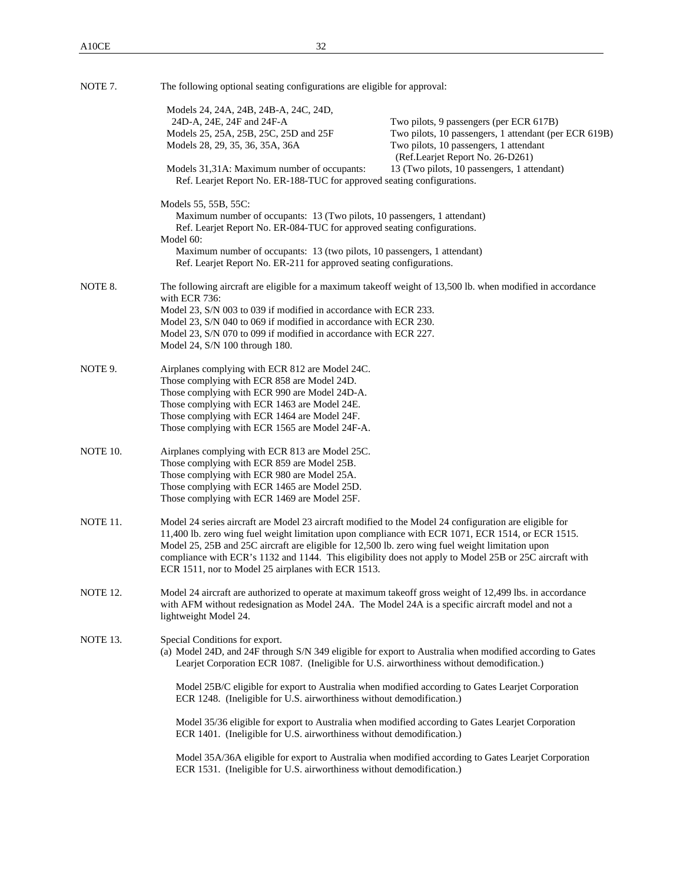| NOTE 7.  |                                                                                                                                                                  | The following optional seating configurations are eligible for approval:                                                                                                                                                                                                                                              |  |  |  |  |
|----------|------------------------------------------------------------------------------------------------------------------------------------------------------------------|-----------------------------------------------------------------------------------------------------------------------------------------------------------------------------------------------------------------------------------------------------------------------------------------------------------------------|--|--|--|--|
|          | Models 24, 24A, 24B, 24B-A, 24C, 24D,<br>24D-A, 24E, 24F and 24F-A                                                                                               | Two pilots, 9 passengers (per ECR 617B)                                                                                                                                                                                                                                                                               |  |  |  |  |
|          | Models 25, 25A, 25B, 25C, 25D and 25F<br>Models 28, 29, 35, 36, 35A, 36A                                                                                         | Two pilots, 10 passengers, 1 attendant (per ECR 619B)<br>Two pilots, 10 passengers, 1 attendant<br>(Ref.Learjet Report No. 26-D261)                                                                                                                                                                                   |  |  |  |  |
|          | Models 31,31A: Maximum number of occupants:<br>Ref. Learjet Report No. ER-188-TUC for approved seating configurations.                                           | 13 (Two pilots, 10 passengers, 1 attendant)                                                                                                                                                                                                                                                                           |  |  |  |  |
|          | Models 55, 55B, 55C:<br>Maximum number of occupants: 13 (Two pilots, 10 passengers, 1 attendant)                                                                 |                                                                                                                                                                                                                                                                                                                       |  |  |  |  |
|          | Ref. Learjet Report No. ER-084-TUC for approved seating configurations.<br>Model 60:<br>Maximum number of occupants: 13 (two pilots, 10 passengers, 1 attendant) |                                                                                                                                                                                                                                                                                                                       |  |  |  |  |
|          | Ref. Learjet Report No. ER-211 for approved seating configurations.                                                                                              |                                                                                                                                                                                                                                                                                                                       |  |  |  |  |
| NOTE 8.  | with ECR 736:                                                                                                                                                    | The following aircraft are eligible for a maximum takeoff weight of 13,500 lb. when modified in accordance                                                                                                                                                                                                            |  |  |  |  |
|          | Model 23, S/N 003 to 039 if modified in accordance with ECR 233.<br>Model 23, S/N 040 to 069 if modified in accordance with ECR 230.                             |                                                                                                                                                                                                                                                                                                                       |  |  |  |  |
|          | Model 23, S/N 070 to 099 if modified in accordance with ECR 227.<br>Model 24, $S/N$ 100 through 180.                                                             |                                                                                                                                                                                                                                                                                                                       |  |  |  |  |
| NOTE 9.  | Airplanes complying with ECR 812 are Model 24C.<br>Those complying with ECR 858 are Model 24D.                                                                   |                                                                                                                                                                                                                                                                                                                       |  |  |  |  |
|          | Those complying with ECR 990 are Model 24D-A.                                                                                                                    |                                                                                                                                                                                                                                                                                                                       |  |  |  |  |
|          | Those complying with ECR 1463 are Model 24E.<br>Those complying with ECR 1464 are Model 24F.                                                                     |                                                                                                                                                                                                                                                                                                                       |  |  |  |  |
|          | Those complying with ECR 1565 are Model 24F-A.                                                                                                                   |                                                                                                                                                                                                                                                                                                                       |  |  |  |  |
| NOTE 10. | Airplanes complying with ECR 813 are Model 25C.<br>Those complying with ECR 859 are Model 25B.                                                                   |                                                                                                                                                                                                                                                                                                                       |  |  |  |  |
|          | Those complying with ECR 980 are Model 25A.                                                                                                                      |                                                                                                                                                                                                                                                                                                                       |  |  |  |  |
|          | Those complying with ECR 1465 are Model 25D.<br>Those complying with ECR 1469 are Model 25F.                                                                     |                                                                                                                                                                                                                                                                                                                       |  |  |  |  |
| NOTE 11. | Model 25, 25B and 25C aircraft are eligible for 12,500 lb. zero wing fuel weight limitation upon<br>ECR 1511, nor to Model 25 airplanes with ECR 1513.           | Model 24 series aircraft are Model 23 aircraft modified to the Model 24 configuration are eligible for<br>11,400 lb. zero wing fuel weight limitation upon compliance with ECR 1071, ECR 1514, or ECR 1515.<br>compliance with ECR's 1132 and 1144. This eligibility does not apply to Model 25B or 25C aircraft with |  |  |  |  |
| NOTE 12. | lightweight Model 24.                                                                                                                                            | Model 24 aircraft are authorized to operate at maximum takeoff gross weight of 12,499 lbs. in accordance<br>with AFM without redesignation as Model 24A. The Model 24A is a specific aircraft model and not a                                                                                                         |  |  |  |  |
| NOTE 13. | Special Conditions for export.                                                                                                                                   | (a) Model 24D, and 24F through S/N 349 eligible for export to Australia when modified according to Gates<br>Learjet Corporation ECR 1087. (Ineligible for U.S. airworthiness without demodification.)                                                                                                                 |  |  |  |  |
|          | ECR 1248. (Ineligible for U.S. airworthiness without demodification.)                                                                                            | Model 25B/C eligible for export to Australia when modified according to Gates Learjet Corporation                                                                                                                                                                                                                     |  |  |  |  |
|          | ECR 1401. (Ineligible for U.S. airworthiness without demodification.)                                                                                            | Model 35/36 eligible for export to Australia when modified according to Gates Learjet Corporation                                                                                                                                                                                                                     |  |  |  |  |
|          | ECR 1531. (Ineligible for U.S. airworthiness without demodification.)                                                                                            | Model 35A/36A eligible for export to Australia when modified according to Gates Learjet Corporation                                                                                                                                                                                                                   |  |  |  |  |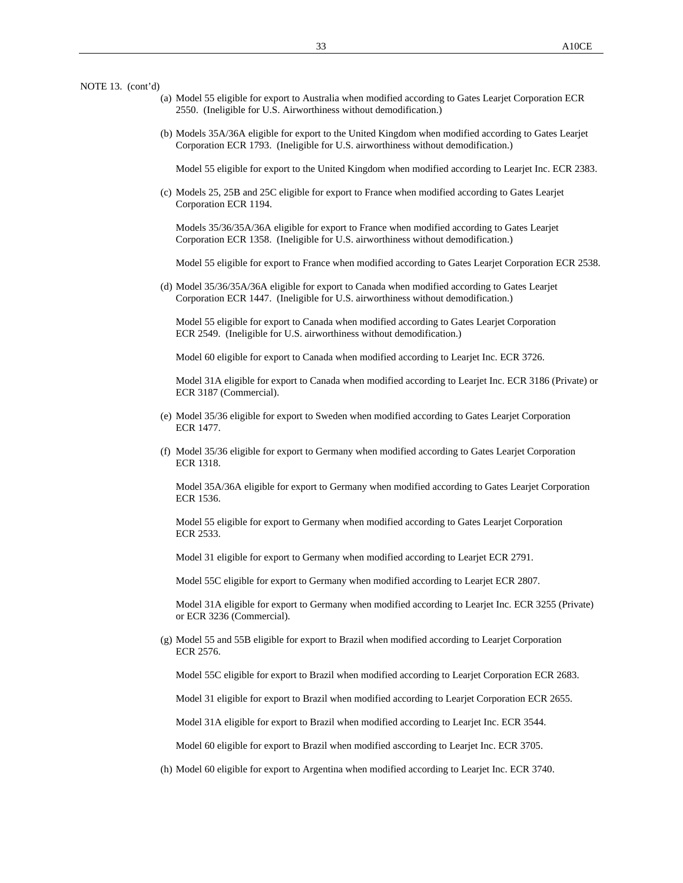NOTE 13. (cont'd)

- (a) Model 55 eligible for export to Australia when modified according to Gates Learjet Corporation ECR 2550. (Ineligible for U.S. Airworthiness without demodification.)
- (b) Models 35A/36A eligible for export to the United Kingdom when modified according to Gates Learjet Corporation ECR 1793. (Ineligible for U.S. airworthiness without demodification.)

Model 55 eligible for export to the United Kingdom when modified according to Learjet Inc. ECR 2383.

(c) Models 25, 25B and 25C eligible for export to France when modified according to Gates Learjet Corporation ECR 1194.

Models 35/36/35A/36A eligible for export to France when modified according to Gates Learjet Corporation ECR 1358. (Ineligible for U.S. airworthiness without demodification.)

Model 55 eligible for export to France when modified according to Gates Learjet Corporation ECR 2538.

(d) Model 35/36/35A/36A eligible for export to Canada when modified according to Gates Learjet Corporation ECR 1447. (Ineligible for U.S. airworthiness without demodification.)

Model 55 eligible for export to Canada when modified according to Gates Learjet Corporation ECR 2549. (Ineligible for U.S. airworthiness without demodification.)

Model 60 eligible for export to Canada when modified according to Learjet Inc. ECR 3726.

Model 31A eligible for export to Canada when modified according to Learjet Inc. ECR 3186 (Private) or ECR 3187 (Commercial).

- (e) Model 35/36 eligible for export to Sweden when modified according to Gates Learjet Corporation ECR 1477.
- (f) Model 35/36 eligible for export to Germany when modified according to Gates Learjet Corporation ECR 1318.

Model 35A/36A eligible for export to Germany when modified according to Gates Learjet Corporation ECR 1536.

Model 55 eligible for export to Germany when modified according to Gates Learjet Corporation ECR 2533.

Model 31 eligible for export to Germany when modified according to Learjet ECR 2791.

Model 55C eligible for export to Germany when modified according to Learjet ECR 2807.

Model 31A eligible for export to Germany when modified according to Learjet Inc. ECR 3255 (Private) or ECR 3236 (Commercial).

(g) Model 55 and 55B eligible for export to Brazil when modified according to Learjet Corporation ECR 2576.

Model 55C eligible for export to Brazil when modified according to Learjet Corporation ECR 2683.

Model 31 eligible for export to Brazil when modified according to Learjet Corporation ECR 2655.

Model 31A eligible for export to Brazil when modified according to Learjet Inc. ECR 3544.

Model 60 eligible for export to Brazil when modified asccording to Learjet Inc. ECR 3705.

(h) Model 60 eligible for export to Argentina when modified according to Learjet Inc. ECR 3740.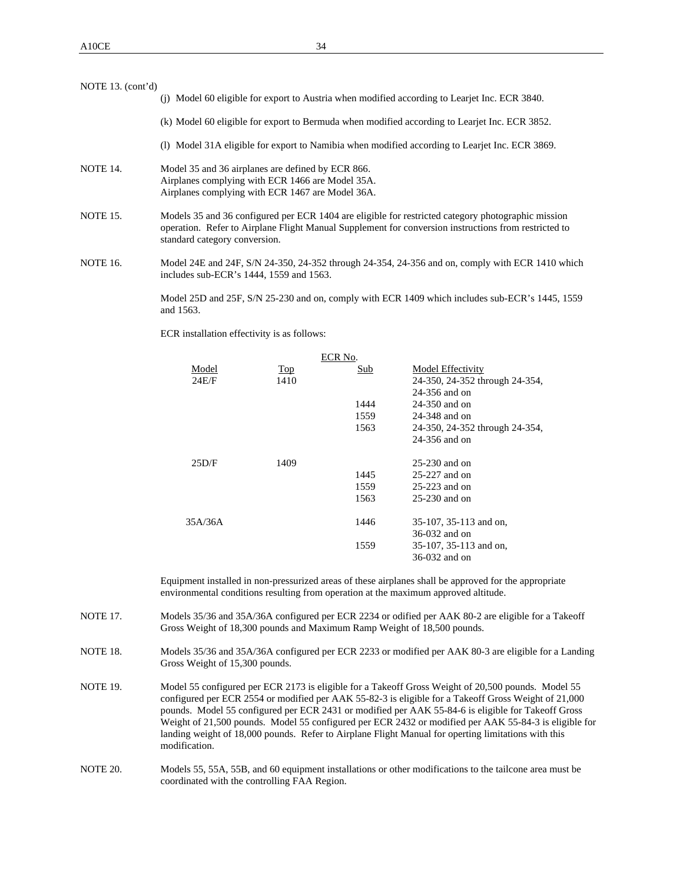| NOTE 13. $(cont'd)$ |                                                                                                                                                                                                                                             |
|---------------------|---------------------------------------------------------------------------------------------------------------------------------------------------------------------------------------------------------------------------------------------|
|                     | (i) Model 60 eligible for export to Austria when modified according to Learjet Inc. ECR 3840.                                                                                                                                               |
|                     | (k) Model 60 eligible for export to Bermuda when modified according to Learjet Inc. ECR 3852.                                                                                                                                               |
|                     | (1) Model 31A eligible for export to Namibia when modified according to Learjet Inc. ECR 3869.                                                                                                                                              |
| <b>NOTE 14.</b>     | Model 35 and 36 airplanes are defined by ECR 866.<br>Airplanes complying with ECR 1466 are Model 35A.<br>Airplanes complying with ECR 1467 are Model 36A.                                                                                   |
| <b>NOTE 15.</b>     | Models 35 and 36 configured per ECR 1404 are eligible for restricted category photographic mission<br>operation. Refer to Airplane Flight Manual Supplement for conversion instructions from restricted to<br>standard category conversion. |
| <b>NOTE 16.</b>     | Model 24E and 24F, S/N 24-350, 24-352 through 24-354, 24-356 and on, comply with ECR 1410 which<br>includes sub-ECR's 1444, 1559 and 1563.                                                                                                  |

Model 25D and 25F, S/N 25-230 and on, comply with ECR 1409 which includes sub-ECR's 1445, 1559 and 1563.

ECR installation effectivity is as follows:

|         |      | ECR No. |                                |
|---------|------|---------|--------------------------------|
| Model   | Top  | Sub     | Model Effectivity              |
| 24E/F   | 1410 |         | 24-350, 24-352 through 24-354, |
|         |      |         | $24-356$ and on                |
|         |      | 1444    | 24-350 and on                  |
|         |      | 1559    | 24-348 and on                  |
|         |      | 1563    | 24-350, 24-352 through 24-354, |
|         |      |         | 24-356 and on                  |
| 25D/F   | 1409 |         | $25-230$ and on                |
|         |      | 1445    | $25-227$ and on                |
|         |      | 1559    | $25-223$ and on                |
|         |      | 1563    | $25-230$ and on                |
| 35A/36A |      | 1446    | 35-107, 35-113 and on,         |
|         |      |         | 36-032 and on                  |
|         |      | 1559    | 35-107, 35-113 and on,         |
|         |      |         | 36-032 and on                  |

Equipment installed in non-pressurized areas of these airplanes shall be approved for the appropriate environmental conditions resulting from operation at the maximum approved altitude.

- NOTE 17. Models 35/36 and 35A/36A configured per ECR 2234 or odified per AAK 80-2 are eligible for a Takeoff Gross Weight of 18,300 pounds and Maximum Ramp Weight of 18,500 pounds.
- NOTE 18. Models 35/36 and 35A/36A configured per ECR 2233 or modified per AAK 80-3 are eligible for a Landing Gross Weight of 15,300 pounds.
- NOTE 19. Model 55 configured per ECR 2173 is eligible for a Takeoff Gross Weight of 20,500 pounds. Model 55 configured per ECR 2554 or modified per AAK 55-82-3 is eligible for a Takeoff Gross Weight of 21,000 pounds. Model 55 configured per ECR 2431 or modified per AAK 55-84-6 is eligible for Takeoff Gross Weight of 21,500 pounds. Model 55 configured per ECR 2432 or modified per AAK 55-84-3 is eligible for landing weight of 18,000 pounds. Refer to Airplane Flight Manual for operting limitations with this modification.
- NOTE 20. Models 55, 55A, 55B, and 60 equipment installations or other modifications to the tailcone area must be coordinated with the controlling FAA Region.